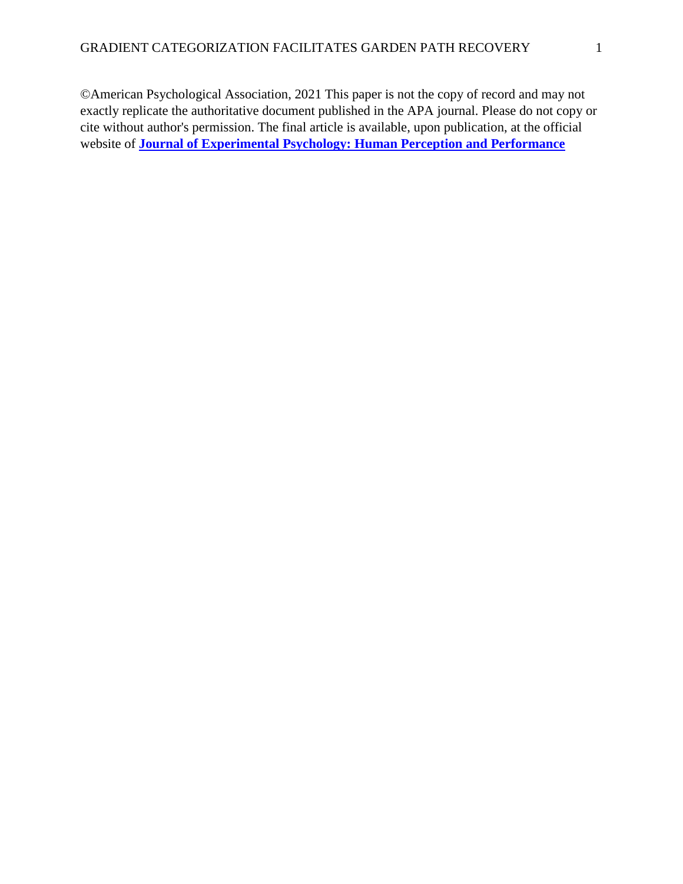©American Psychological Association, 2021 This paper is not the copy of record and may not exactly replicate the authoritative document published in the APA journal. Please do not copy or cite without author's permission. The final article is available, upon publication, at the official website of **[Journal of Experimental Psychology: Human Perception and Performance](https://psycnet.apa.org/PsycARTICLES/journal/xhp/)**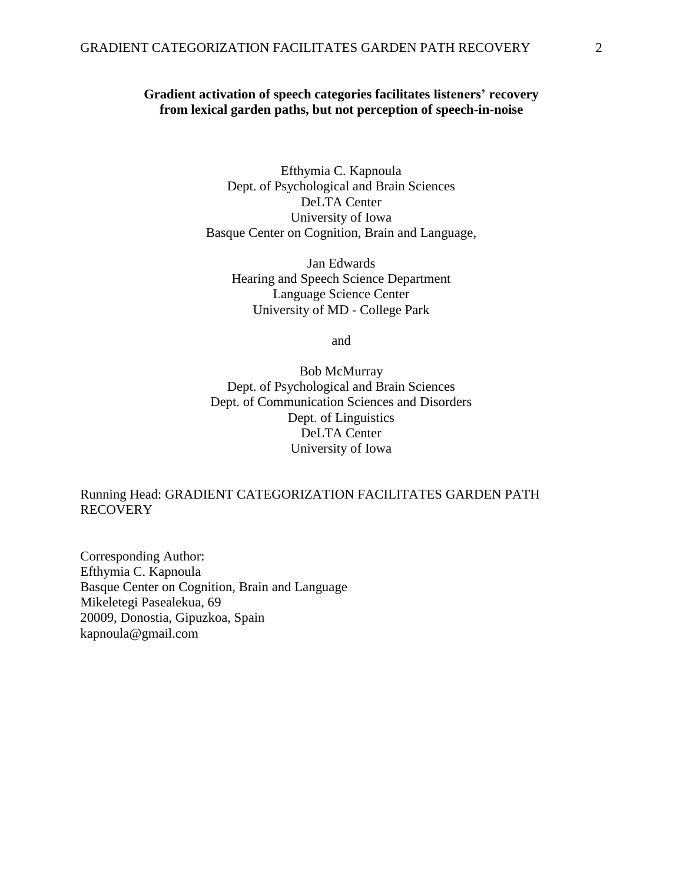# **Gradient activation of speech categories facilitates listeners' recovery from lexical garden paths, but not perception of speech-in-noise**

Efthymia C. Kapnoula Dept. of Psychological and Brain Sciences DeLTA Center University of Iowa Basque Center on Cognition, Brain and Language,

Jan Edwards Hearing and Speech Science Department Language Science Center University of MD - College Park

and

Bob McMurray Dept. of Psychological and Brain Sciences Dept. of Communication Sciences and Disorders Dept. of Linguistics DeLTA Center University of Iowa

# Running Head: GRADIENT CATEGORIZATION FACILITATES GARDEN PATH **RECOVERY**

Corresponding Author: Efthymia C. Kapnoula Basque Center on Cognition, Brain and Language Mikeletegi Pasealekua, 69 20009, Donostia, Gipuzkoa, Spain kapnoula@gmail.com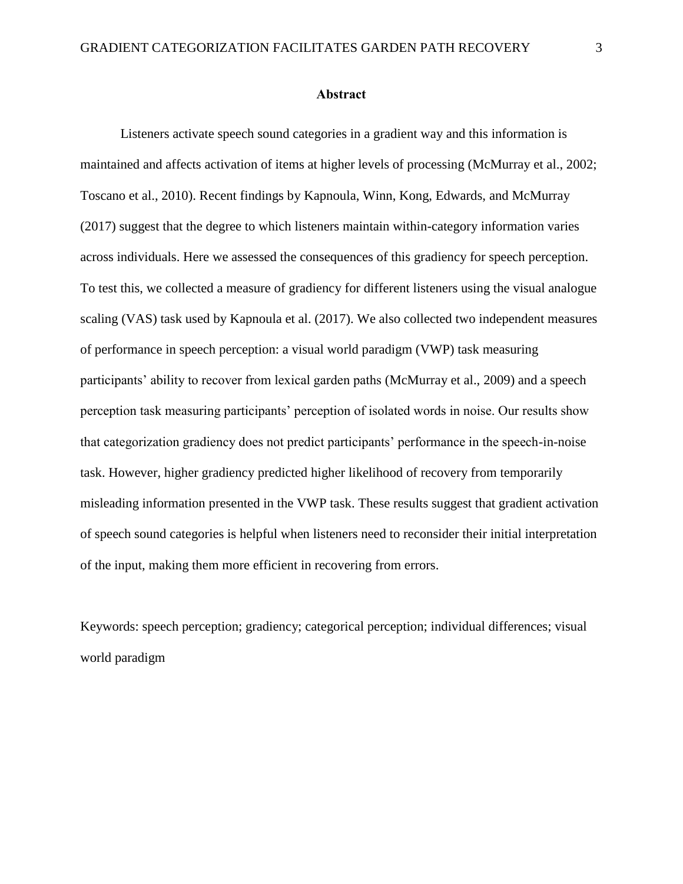#### **Abstract**

Listeners activate speech sound categories in a gradient way and this information is maintained and affects activation of items at higher levels of processing (McMurray et al., 2002; Toscano et al., 2010). Recent findings by Kapnoula, Winn, Kong, Edwards, and McMurray (2017) suggest that the degree to which listeners maintain within-category information varies across individuals. Here we assessed the consequences of this gradiency for speech perception. To test this, we collected a measure of gradiency for different listeners using the visual analogue scaling (VAS) task used by Kapnoula et al. (2017). We also collected two independent measures of performance in speech perception: a visual world paradigm (VWP) task measuring participants' ability to recover from lexical garden paths (McMurray et al., 2009) and a speech perception task measuring participants' perception of isolated words in noise. Our results show that categorization gradiency does not predict participants' performance in the speech-in-noise task. However, higher gradiency predicted higher likelihood of recovery from temporarily misleading information presented in the VWP task. These results suggest that gradient activation of speech sound categories is helpful when listeners need to reconsider their initial interpretation of the input, making them more efficient in recovering from errors.

Keywords: speech perception; gradiency; categorical perception; individual differences; visual world paradigm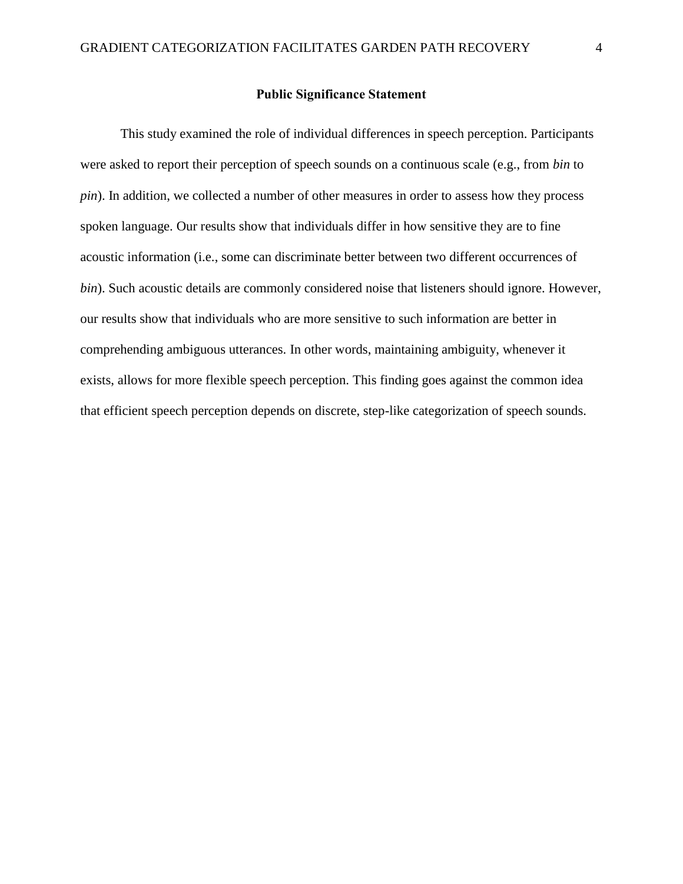## **Public Significance Statement**

This study examined the role of individual differences in speech perception. Participants were asked to report their perception of speech sounds on a continuous scale (e.g., from *bin* to *pin*). In addition, we collected a number of other measures in order to assess how they process spoken language. Our results show that individuals differ in how sensitive they are to fine acoustic information (i.e., some can discriminate better between two different occurrences of *bin*). Such acoustic details are commonly considered noise that listeners should ignore. However, our results show that individuals who are more sensitive to such information are better in comprehending ambiguous utterances. In other words, maintaining ambiguity, whenever it exists, allows for more flexible speech perception. This finding goes against the common idea that efficient speech perception depends on discrete, step-like categorization of speech sounds.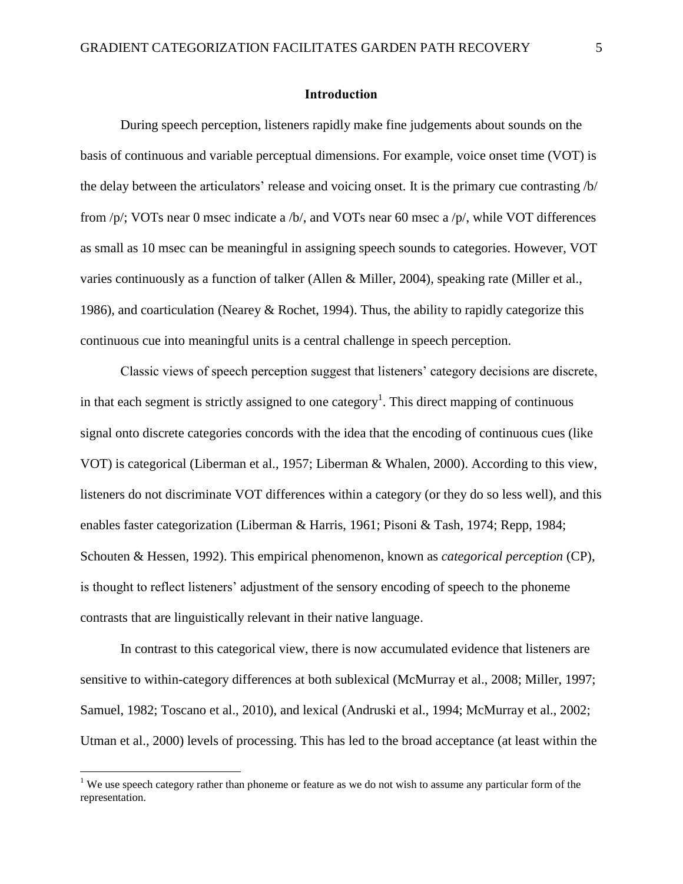#### **Introduction**

During speech perception, listeners rapidly make fine judgements about sounds on the basis of continuous and variable perceptual dimensions. For example, voice onset time (VOT) is the delay between the articulators' release and voicing onset. It is the primary cue contrasting /b/ from /p/; VOTs near 0 msec indicate a /b/, and VOTs near 60 msec a /p/, while VOT differences as small as 10 msec can be meaningful in assigning speech sounds to categories. However, VOT varies continuously as a function of talker (Allen & Miller, 2004), speaking rate (Miller et al., 1986), and coarticulation (Nearey & Rochet, 1994). Thus, the ability to rapidly categorize this continuous cue into meaningful units is a central challenge in speech perception.

Classic views of speech perception suggest that listeners' category decisions are discrete, in that each segment is strictly assigned to one category<sup>1</sup>. This direct mapping of continuous signal onto discrete categories concords with the idea that the encoding of continuous cues (like VOT) is categorical (Liberman et al., 1957; Liberman & Whalen, 2000). According to this view, listeners do not discriminate VOT differences within a category (or they do so less well), and this enables faster categorization (Liberman & Harris, 1961; Pisoni & Tash, 1974; Repp, 1984; Schouten & Hessen, 1992). This empirical phenomenon, known as *categorical perception* (CP), is thought to reflect listeners' adjustment of the sensory encoding of speech to the phoneme contrasts that are linguistically relevant in their native language.

In contrast to this categorical view, there is now accumulated evidence that listeners are sensitive to within-category differences at both sublexical (McMurray et al., 2008; Miller, 1997; Samuel, 1982; Toscano et al., 2010), and lexical (Andruski et al., 1994; McMurray et al., 2002; Utman et al., 2000) levels of processing. This has led to the broad acceptance (at least within the

 $\overline{a}$ 

<sup>&</sup>lt;sup>1</sup> We use speech category rather than phoneme or feature as we do not wish to assume any particular form of the representation.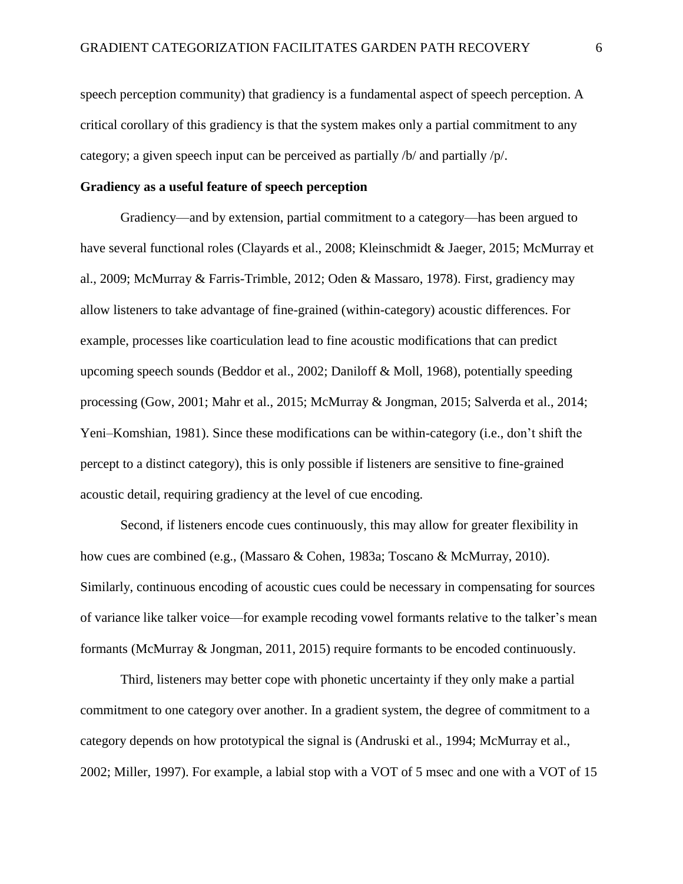speech perception community) that gradiency is a fundamental aspect of speech perception. A critical corollary of this gradiency is that the system makes only a partial commitment to any category; a given speech input can be perceived as partially /b/ and partially /p/.

### **Gradiency as a useful feature of speech perception**

Gradiency—and by extension, partial commitment to a category—has been argued to have several functional roles (Clayards et al., 2008; Kleinschmidt & Jaeger, 2015; McMurray et al., 2009; McMurray & Farris-Trimble, 2012; Oden & Massaro, 1978). First, gradiency may allow listeners to take advantage of fine-grained (within-category) acoustic differences. For example, processes like coarticulation lead to fine acoustic modifications that can predict upcoming speech sounds (Beddor et al., 2002; Daniloff & Moll, 1968), potentially speeding processing (Gow, 2001; Mahr et al., 2015; McMurray & Jongman, 2015; Salverda et al., 2014; Yeni–Komshian, 1981). Since these modifications can be within-category (i.e., don't shift the percept to a distinct category), this is only possible if listeners are sensitive to fine-grained acoustic detail, requiring gradiency at the level of cue encoding.

Second, if listeners encode cues continuously, this may allow for greater flexibility in how cues are combined (e.g., (Massaro & Cohen, 1983a; Toscano & McMurray, 2010). Similarly, continuous encoding of acoustic cues could be necessary in compensating for sources of variance like talker voice—for example recoding vowel formants relative to the talker's mean formants (McMurray & Jongman, 2011, 2015) require formants to be encoded continuously.

Third, listeners may better cope with phonetic uncertainty if they only make a partial commitment to one category over another. In a gradient system, the degree of commitment to a category depends on how prototypical the signal is (Andruski et al., 1994; McMurray et al., 2002; Miller, 1997). For example, a labial stop with a VOT of 5 msec and one with a VOT of 15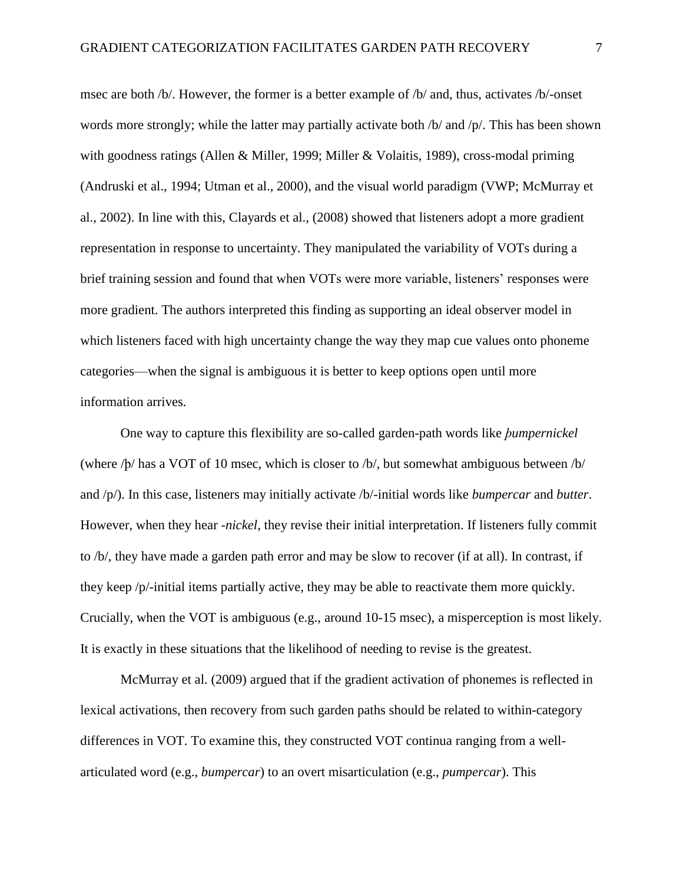msec are both /b/. However, the former is a better example of /b/ and, thus, activates /b/-onset words more strongly; while the latter may partially activate both /b/ and /p/. This has been shown with goodness ratings (Allen & Miller, 1999; Miller & Volaitis, 1989), cross-modal priming (Andruski et al., 1994; Utman et al., 2000), and the visual world paradigm (VWP; McMurray et al., 2002). In line with this, Clayards et al., (2008) showed that listeners adopt a more gradient representation in response to uncertainty. They manipulated the variability of VOTs during a brief training session and found that when VOTs were more variable, listeners' responses were more gradient. The authors interpreted this finding as supporting an ideal observer model in which listeners faced with high uncertainty change the way they map cue values onto phoneme categories—when the signal is ambiguous it is better to keep options open until more information arrives.

One way to capture this flexibility are so-called garden-path words like *ϸumpernickel* (where /ϸ/ has a VOT of 10 msec, which is closer to /b/, but somewhat ambiguous between /b/ and /p/). In this case, listeners may initially activate /b/-initial words like *bumpercar* and *butter*. However, when they hear -*nickel*, they revise their initial interpretation. If listeners fully commit to /b/, they have made a garden path error and may be slow to recover (if at all). In contrast, if they keep /p/-initial items partially active, they may be able to reactivate them more quickly. Crucially, when the VOT is ambiguous (e.g., around 10-15 msec), a misperception is most likely. It is exactly in these situations that the likelihood of needing to revise is the greatest.

McMurray et al. (2009) argued that if the gradient activation of phonemes is reflected in lexical activations, then recovery from such garden paths should be related to within-category differences in VOT. To examine this, they constructed VOT continua ranging from a wellarticulated word (e.g., *bumpercar*) to an overt misarticulation (e.g., *pumpercar*). This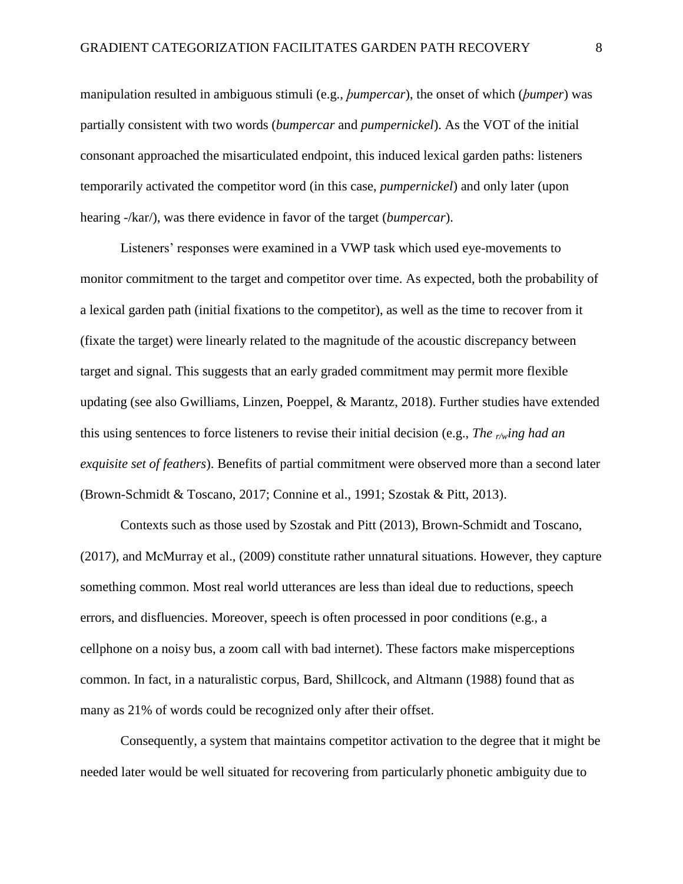manipulation resulted in ambiguous stimuli (e.g., *ϸumpercar*), the onset of which (*ϸumper*) was partially consistent with two words (*bumpercar* and *pumpernickel*). As the VOT of the initial consonant approached the misarticulated endpoint, this induced lexical garden paths: listeners temporarily activated the competitor word (in this case, *pumpernickel*) and only later (upon hearing -/kar/), was there evidence in favor of the target (*bumpercar*).

Listeners' responses were examined in a VWP task which used eye-movements to monitor commitment to the target and competitor over time. As expected, both the probability of a lexical garden path (initial fixations to the competitor), as well as the time to recover from it (fixate the target) were linearly related to the magnitude of the acoustic discrepancy between target and signal. This suggests that an early graded commitment may permit more flexible updating (see also Gwilliams, Linzen, Poeppel, & Marantz, 2018). Further studies have extended this using sentences to force listeners to revise their initial decision (e.g., *The r/wing had an exquisite set of feathers*). Benefits of partial commitment were observed more than a second later (Brown-Schmidt & Toscano, 2017; Connine et al., 1991; Szostak & Pitt, 2013).

Contexts such as those used by Szostak and Pitt (2013), Brown-Schmidt and Toscano, (2017), and McMurray et al., (2009) constitute rather unnatural situations. However, they capture something common. Most real world utterances are less than ideal due to reductions, speech errors, and disfluencies. Moreover, speech is often processed in poor conditions (e.g., a cellphone on a noisy bus, a zoom call with bad internet). These factors make misperceptions common. In fact, in a naturalistic corpus, Bard, Shillcock, and Altmann (1988) found that as many as 21% of words could be recognized only after their offset.

Consequently, a system that maintains competitor activation to the degree that it might be needed later would be well situated for recovering from particularly phonetic ambiguity due to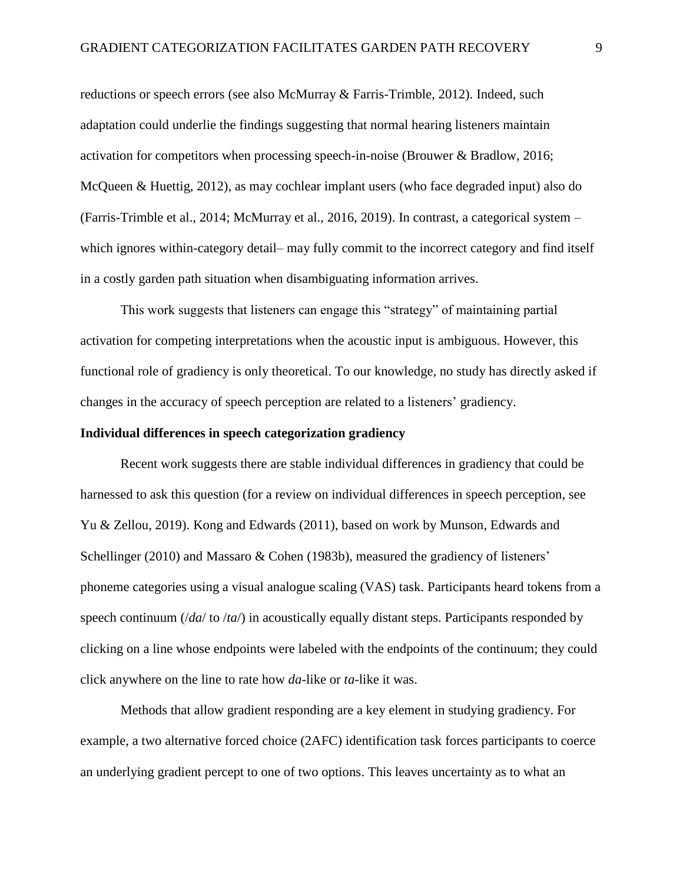reductions or speech errors (see also McMurray & Farris-Trimble, 2012). Indeed, such adaptation could underlie the findings suggesting that normal hearing listeners maintain activation for competitors when processing speech-in-noise (Brouwer & Bradlow, 2016; McQueen & Huettig, 2012), as may cochlear implant users (who face degraded input) also do (Farris-Trimble et al., 2014; McMurray et al., 2016, 2019). In contrast, a categorical system – which ignores within-category detail– may fully commit to the incorrect category and find itself in a costly garden path situation when disambiguating information arrives.

This work suggests that listeners can engage this "strategy" of maintaining partial activation for competing interpretations when the acoustic input is ambiguous. However, this functional role of gradiency is only theoretical. To our knowledge, no study has directly asked if changes in the accuracy of speech perception are related to a listeners' gradiency.

### **Individual differences in speech categorization gradiency**

Recent work suggests there are stable individual differences in gradiency that could be harnessed to ask this question (for a review on individual differences in speech perception, see Yu & Zellou, 2019). Kong and Edwards (2011), based on work by Munson, Edwards and Schellinger (2010) and Massaro & Cohen (1983b), measured the gradiency of listeners' phoneme categories using a visual analogue scaling (VAS) task. Participants heard tokens from a speech continuum (/*da*/ to /*ta*/) in acoustically equally distant steps. Participants responded by clicking on a line whose endpoints were labeled with the endpoints of the continuum; they could click anywhere on the line to rate how *da*-like or *ta-*like it was.

Methods that allow gradient responding are a key element in studying gradiency. For example, a two alternative forced choice (2AFC) identification task forces participants to coerce an underlying gradient percept to one of two options. This leaves uncertainty as to what an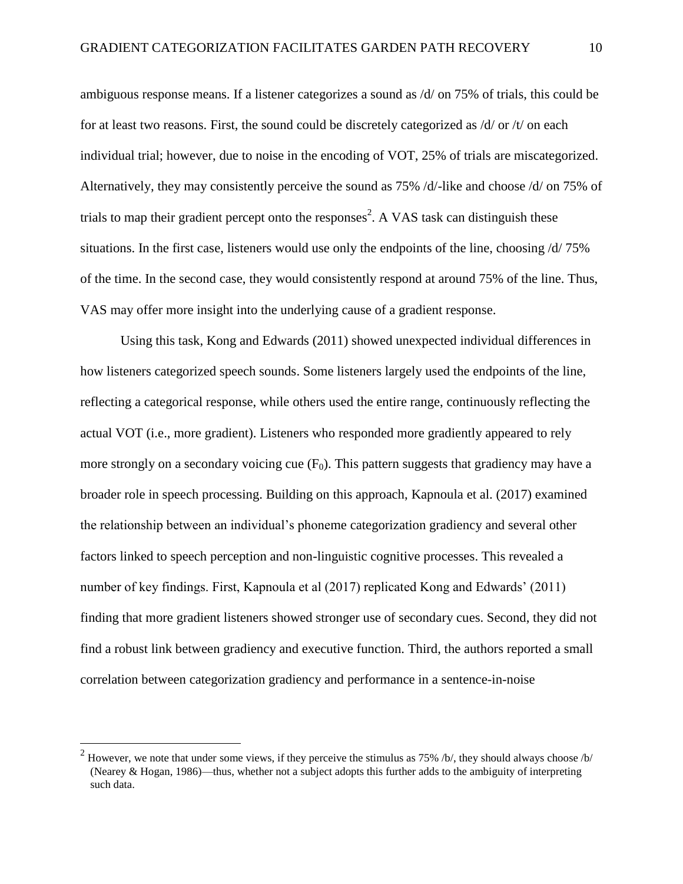ambiguous response means. If a listener categorizes a sound as /d/ on 75% of trials, this could be for at least two reasons. First, the sound could be discretely categorized as /d/ or /t/ on each individual trial; however, due to noise in the encoding of VOT, 25% of trials are miscategorized. Alternatively, they may consistently perceive the sound as 75% /d/-like and choose /d/ on 75% of trials to map their gradient percept onto the responses<sup>2</sup>. A VAS task can distinguish these situations. In the first case, listeners would use only the endpoints of the line, choosing /d/ 75% of the time. In the second case, they would consistently respond at around 75% of the line. Thus, VAS may offer more insight into the underlying cause of a gradient response.

Using this task, Kong and Edwards (2011) showed unexpected individual differences in how listeners categorized speech sounds. Some listeners largely used the endpoints of the line, reflecting a categorical response, while others used the entire range, continuously reflecting the actual VOT (i.e., more gradient). Listeners who responded more gradiently appeared to rely more strongly on a secondary voicing cue  $(F_0)$ . This pattern suggests that gradiency may have a broader role in speech processing. Building on this approach, Kapnoula et al. (2017) examined the relationship between an individual's phoneme categorization gradiency and several other factors linked to speech perception and non-linguistic cognitive processes. This revealed a number of key findings. First, Kapnoula et al (2017) replicated Kong and Edwards' (2011) finding that more gradient listeners showed stronger use of secondary cues. Second, they did not find a robust link between gradiency and executive function. Third, the authors reported a small correlation between categorization gradiency and performance in a sentence-in-noise

 $\overline{a}$ 

<sup>&</sup>lt;sup>2</sup> However, we note that under some views, if they perceive the stimulus as 75% /b/, they should always choose /b/ (Nearey & Hogan, 1986)—thus, whether not a subject adopts this further adds to the ambiguity of interpreting such data.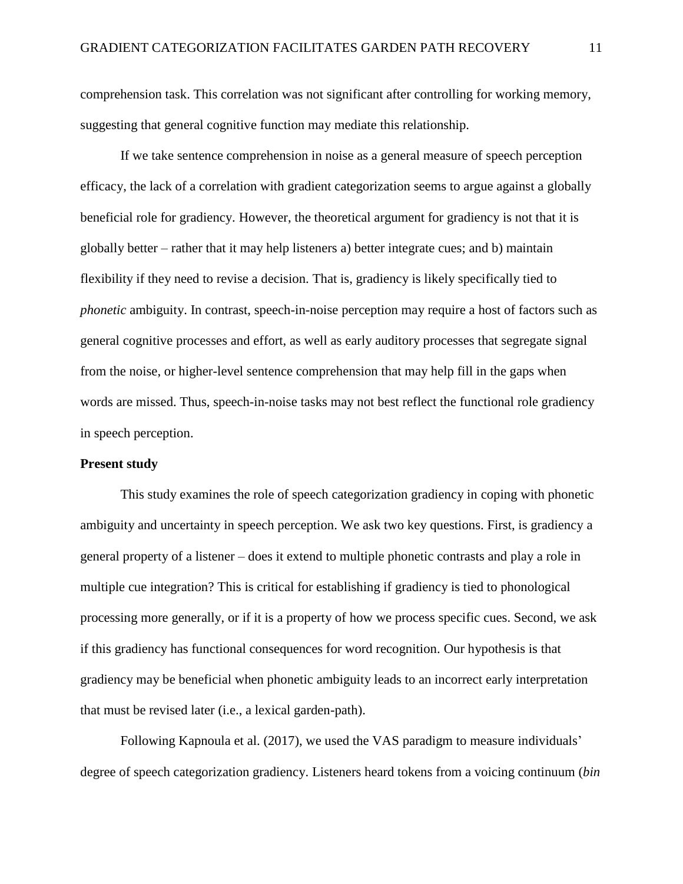comprehension task. This correlation was not significant after controlling for working memory, suggesting that general cognitive function may mediate this relationship.

If we take sentence comprehension in noise as a general measure of speech perception efficacy, the lack of a correlation with gradient categorization seems to argue against a globally beneficial role for gradiency. However, the theoretical argument for gradiency is not that it is globally better – rather that it may help listeners a) better integrate cues; and b) maintain flexibility if they need to revise a decision. That is, gradiency is likely specifically tied to *phonetic* ambiguity. In contrast, speech-in-noise perception may require a host of factors such as general cognitive processes and effort, as well as early auditory processes that segregate signal from the noise, or higher-level sentence comprehension that may help fill in the gaps when words are missed. Thus, speech-in-noise tasks may not best reflect the functional role gradiency in speech perception.

## **Present study**

This study examines the role of speech categorization gradiency in coping with phonetic ambiguity and uncertainty in speech perception. We ask two key questions. First, is gradiency a general property of a listener – does it extend to multiple phonetic contrasts and play a role in multiple cue integration? This is critical for establishing if gradiency is tied to phonological processing more generally, or if it is a property of how we process specific cues. Second, we ask if this gradiency has functional consequences for word recognition. Our hypothesis is that gradiency may be beneficial when phonetic ambiguity leads to an incorrect early interpretation that must be revised later (i.e., a lexical garden-path).

Following Kapnoula et al. (2017), we used the VAS paradigm to measure individuals' degree of speech categorization gradiency. Listeners heard tokens from a voicing continuum (*bin*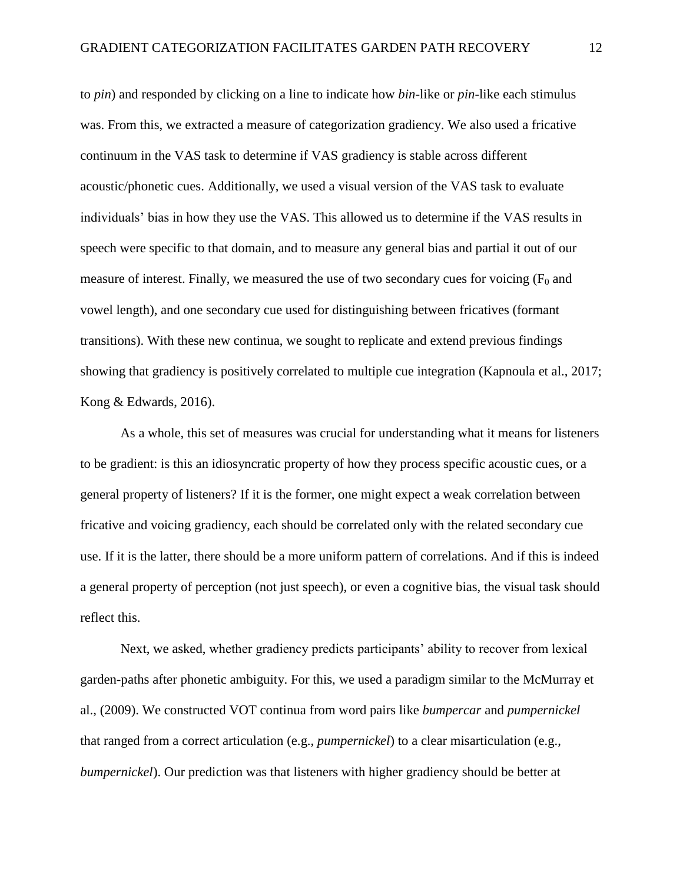to *pin*) and responded by clicking on a line to indicate how *bin*-like or *pin-*like each stimulus was. From this, we extracted a measure of categorization gradiency. We also used a fricative continuum in the VAS task to determine if VAS gradiency is stable across different acoustic/phonetic cues. Additionally, we used a visual version of the VAS task to evaluate individuals' bias in how they use the VAS. This allowed us to determine if the VAS results in speech were specific to that domain, and to measure any general bias and partial it out of our measure of interest. Finally, we measured the use of two secondary cues for voicing  $(F_0$  and vowel length), and one secondary cue used for distinguishing between fricatives (formant transitions). With these new continua, we sought to replicate and extend previous findings showing that gradiency is positively correlated to multiple cue integration (Kapnoula et al., 2017; Kong & Edwards, 2016).

As a whole, this set of measures was crucial for understanding what it means for listeners to be gradient: is this an idiosyncratic property of how they process specific acoustic cues, or a general property of listeners? If it is the former, one might expect a weak correlation between fricative and voicing gradiency, each should be correlated only with the related secondary cue use. If it is the latter, there should be a more uniform pattern of correlations. And if this is indeed a general property of perception (not just speech), or even a cognitive bias, the visual task should reflect this.

Next, we asked, whether gradiency predicts participants' ability to recover from lexical garden-paths after phonetic ambiguity. For this, we used a paradigm similar to the McMurray et al., (2009). We constructed VOT continua from word pairs like *bumpercar* and *pumpernickel* that ranged from a correct articulation (e.g., *pumpernickel*) to a clear misarticulation (e.g., *bumpernickel*). Our prediction was that listeners with higher gradiency should be better at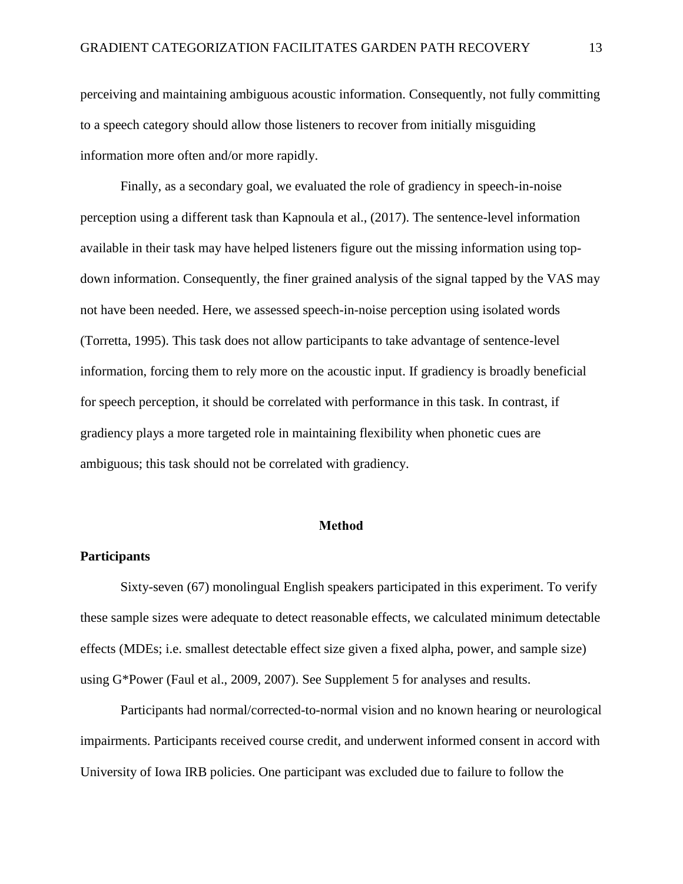perceiving and maintaining ambiguous acoustic information. Consequently, not fully committing to a speech category should allow those listeners to recover from initially misguiding information more often and/or more rapidly.

Finally, as a secondary goal, we evaluated the role of gradiency in speech-in-noise perception using a different task than Kapnoula et al., (2017). The sentence-level information available in their task may have helped listeners figure out the missing information using topdown information. Consequently, the finer grained analysis of the signal tapped by the VAS may not have been needed. Here, we assessed speech-in-noise perception using isolated words (Torretta, 1995). This task does not allow participants to take advantage of sentence-level information, forcing them to rely more on the acoustic input. If gradiency is broadly beneficial for speech perception, it should be correlated with performance in this task. In contrast, if gradiency plays a more targeted role in maintaining flexibility when phonetic cues are ambiguous; this task should not be correlated with gradiency.

#### **Method**

### **Participants**

Sixty-seven (67) monolingual English speakers participated in this experiment. To verify these sample sizes were adequate to detect reasonable effects, we calculated minimum detectable effects (MDEs; i.e. smallest detectable effect size given a fixed alpha, power, and sample size) using G\*Power (Faul et al., 2009, 2007). See Supplement 5 for analyses and results.

Participants had normal/corrected-to-normal vision and no known hearing or neurological impairments. Participants received course credit, and underwent informed consent in accord with University of Iowa IRB policies. One participant was excluded due to failure to follow the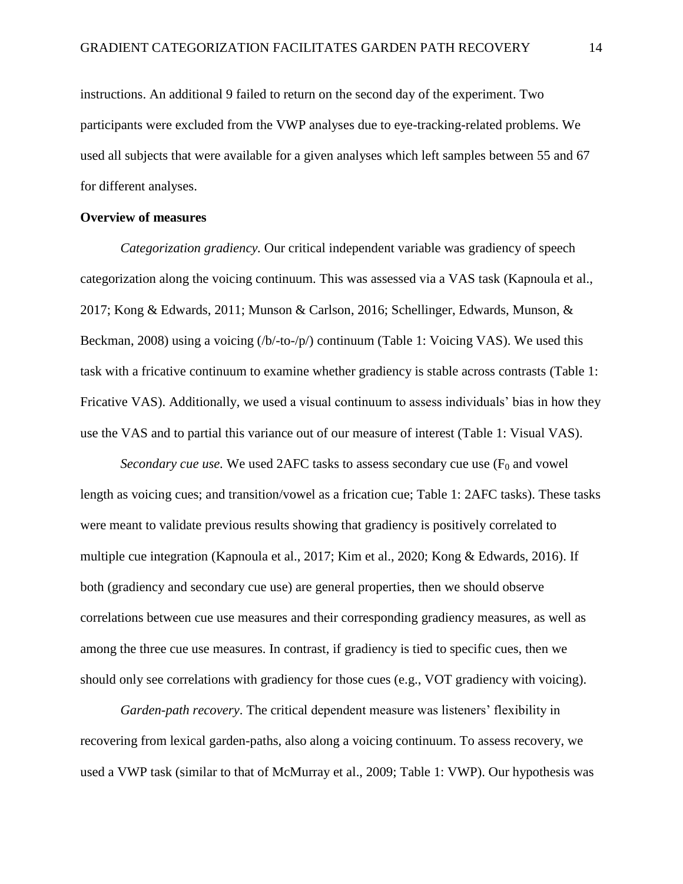instructions. An additional 9 failed to return on the second day of the experiment. Two participants were excluded from the VWP analyses due to eye-tracking-related problems. We used all subjects that were available for a given analyses which left samples between 55 and 67 for different analyses.

# **Overview of measures**

*Categorization gradiency.* Our critical independent variable was gradiency of speech categorization along the voicing continuum. This was assessed via a VAS task (Kapnoula et al., 2017; Kong & Edwards, 2011; Munson & Carlson, 2016; Schellinger, Edwards, Munson, & Beckman, 2008) using a voicing  $(b/-16/ p)$  continuum (Table 1: Voicing VAS). We used this task with a fricative continuum to examine whether gradiency is stable across contrasts (Table 1: Fricative VAS). Additionally, we used a visual continuum to assess individuals' bias in how they use the VAS and to partial this variance out of our measure of interest (Table 1: Visual VAS).

*Secondary cue use.* We used 2AFC tasks to assess secondary cue use  $(F_0$  and vowel length as voicing cues; and transition/vowel as a frication cue; Table 1: 2AFC tasks). These tasks were meant to validate previous results showing that gradiency is positively correlated to multiple cue integration (Kapnoula et al., 2017; Kim et al., 2020; Kong & Edwards, 2016). If both (gradiency and secondary cue use) are general properties, then we should observe correlations between cue use measures and their corresponding gradiency measures, as well as among the three cue use measures. In contrast, if gradiency is tied to specific cues, then we should only see correlations with gradiency for those cues (e.g., VOT gradiency with voicing).

*Garden-path recovery*. The critical dependent measure was listeners' flexibility in recovering from lexical garden-paths, also along a voicing continuum. To assess recovery, we used a VWP task (similar to that of McMurray et al., 2009; Table 1: VWP). Our hypothesis was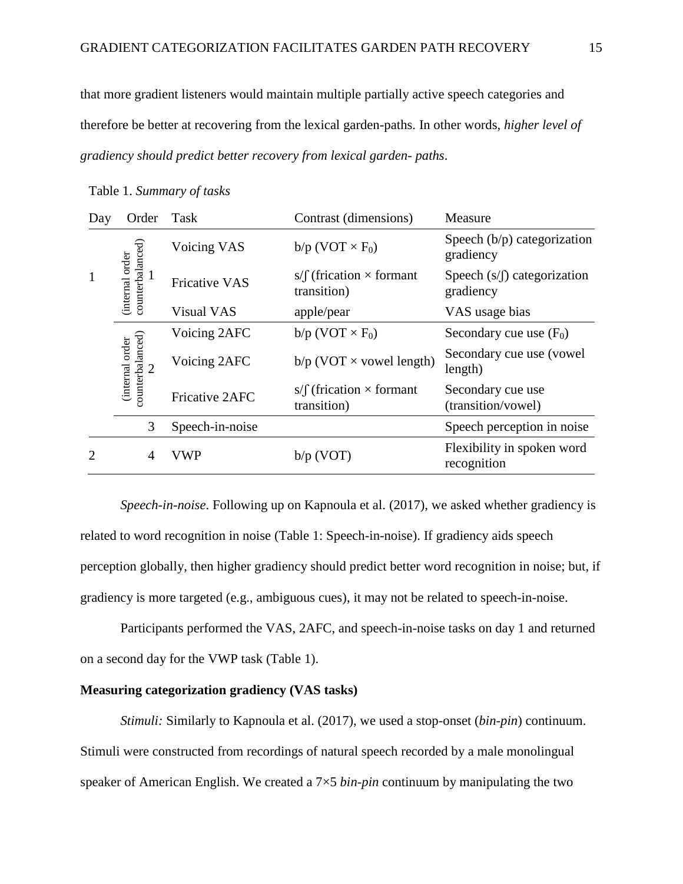that more gradient listeners would maintain multiple partially active speech categories and therefore be better at recovering from the lexical garden-paths. In other words, *higher level of gradiency should predict better recovery from lexical garden- paths*.

| Day          | Order                                             | Task                  | Contrast (dimensions)                                | Measure                                    |
|--------------|---------------------------------------------------|-----------------------|------------------------------------------------------|--------------------------------------------|
| $\mathbf{1}$ | counterbalanced)<br>order<br>1<br><i>internal</i> | Voicing VAS           | $b/p$ (VOT $\times F_0$ )                            | Speech $(b/p)$ categorization<br>gradiency |
|              |                                                   | <b>Fricative VAS</b>  | s/ $\int$ (frication $\times$ formant<br>transition) | Speech $(s/f)$ categorization<br>gradiency |
|              |                                                   | <b>Visual VAS</b>     | apple/pear                                           | VAS usage bias                             |
|              | counterbalanced)<br>(internal order               | Voicing 2AFC          | $b/p$ (VOT $\times F_0$ )                            | Secondary cue use $(F_0)$                  |
|              |                                                   | Voicing 2AFC          | $b/p$ (VOT $\times$ vowel length)                    | Secondary cue use (vowel)<br>length)       |
|              |                                                   | <b>Fricative 2AFC</b> | s/ $\int$ (frication $\times$ formant<br>transition) | Secondary cue use<br>(transition/vowel)    |
|              | 3                                                 | Speech-in-noise       |                                                      | Speech perception in noise                 |
| 2            | 4                                                 | VWP                   | $b/p$ (VOT)                                          | Flexibility in spoken word<br>recognition  |

Table 1. *Summary of tasks*

*Speech-in-noise*. Following up on Kapnoula et al. (2017), we asked whether gradiency is related to word recognition in noise (Table 1: Speech-in-noise). If gradiency aids speech perception globally, then higher gradiency should predict better word recognition in noise; but, if gradiency is more targeted (e.g., ambiguous cues), it may not be related to speech-in-noise.

Participants performed the VAS, 2AFC, and speech-in-noise tasks on day 1 and returned on a second day for the VWP task (Table 1).

# **Measuring categorization gradiency (VAS tasks)**

*Stimuli:* Similarly to Kapnoula et al. (2017), we used a stop-onset (*bin*-*pin*) continuum. Stimuli were constructed from recordings of natural speech recorded by a male monolingual speaker of American English. We created a 7×5 *bin*-*pin* continuum by manipulating the two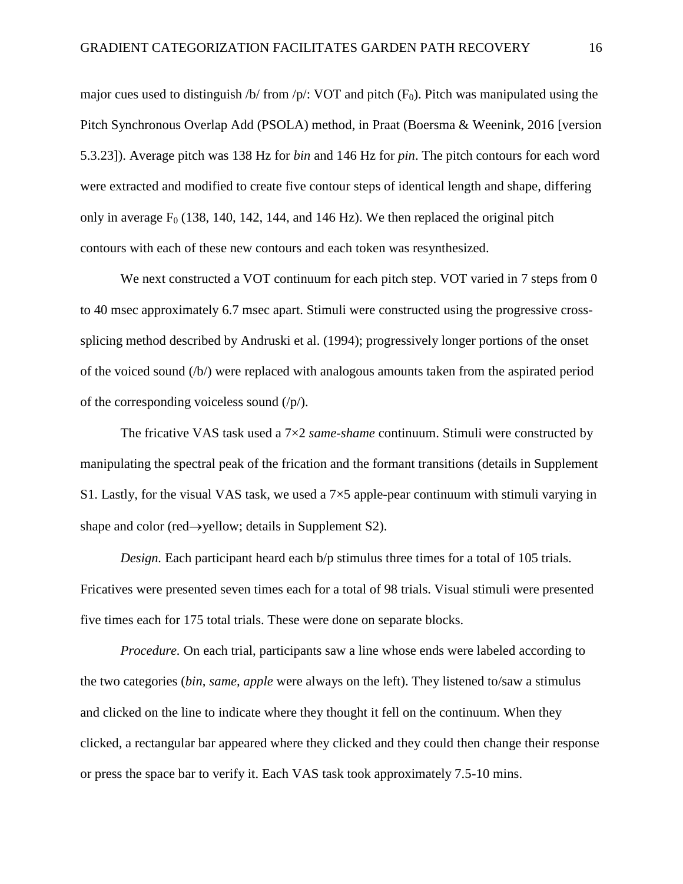major cues used to distinguish /b/ from /p/: VOT and pitch  $(F_0)$ . Pitch was manipulated using the Pitch Synchronous Overlap Add (PSOLA) method, in Praat (Boersma & Weenink, 2016 [version 5.3.23]). Average pitch was 138 Hz for *bin* and 146 Hz for *pin*. The pitch contours for each word were extracted and modified to create five contour steps of identical length and shape, differing only in average  $F_0$  (138, 140, 142, 144, and 146 Hz). We then replaced the original pitch contours with each of these new contours and each token was resynthesized.

We next constructed a VOT continuum for each pitch step. VOT varied in 7 steps from 0 to 40 msec approximately 6.7 msec apart. Stimuli were constructed using the progressive crosssplicing method described by Andruski et al. (1994); progressively longer portions of the onset of the voiced sound (/b/) were replaced with analogous amounts taken from the aspirated period of the corresponding voiceless sound  $(\frac{p}{p})$ .

The fricative VAS task used a 7×2 *same*-*shame* continuum. Stimuli were constructed by manipulating the spectral peak of the frication and the formant transitions (details in Supplement S1. Lastly, for the visual VAS task, we used a  $7\times5$  apple-pear continuum with stimuli varying in shape and color (red $\rightarrow$ yellow; details in Supplement S2).

*Design.* Each participant heard each b/p stimulus three times for a total of 105 trials. Fricatives were presented seven times each for a total of 98 trials. Visual stimuli were presented five times each for 175 total trials. These were done on separate blocks.

*Procedure*. On each trial, participants saw a line whose ends were labeled according to the two categories (*bin, same, apple* were always on the left). They listened to/saw a stimulus and clicked on the line to indicate where they thought it fell on the continuum. When they clicked, a rectangular bar appeared where they clicked and they could then change their response or press the space bar to verify it. Each VAS task took approximately 7.5-10 mins.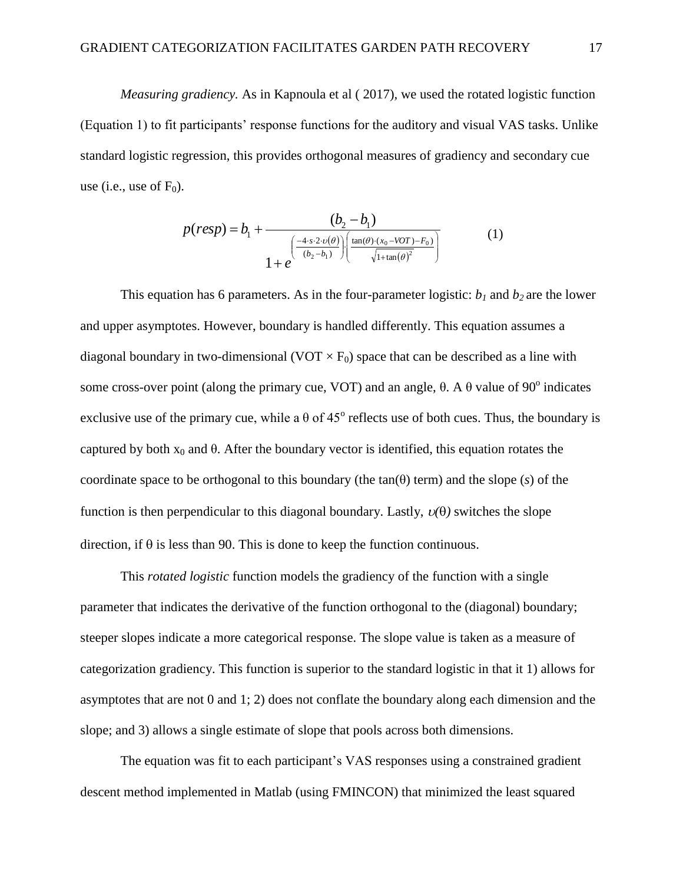*Measuring gradiency.* As in Kapnoula et al ( 2017), we used the rotated logistic function (Equation 1) to fit participants' response functions for the auditory and visual VAS tasks. Unlike standard logistic regression, this provides orthogonal measures of gradiency and secondary cue use (i.e., use of  $F_0$ ).

$$
p(resp) = b_1 + \frac{(b_2 - b_1)}{\left(\frac{-4 \cdot s \cdot 2 \cdot \upsilon(\theta)}{(b_2 - b_1)}\right) \left(\frac{\tan(\theta) \cdot (x_0 - VOT) - F_0}{\sqrt{1 + \tan(\theta)^2}}\right)}
$$
(1)

This equation has 6 parameters. As in the four-parameter logistic:  $b_1$  and  $b_2$  are the lower and upper asymptotes. However, boundary is handled differently. This equation assumes a diagonal boundary in two-dimensional (VOT  $\times$  F<sub>0</sub>) space that can be described as a line with some cross-over point (along the primary cue, VOT) and an angle,  $θ$ . A  $θ$  value of 90<sup>°</sup> indicates exclusive use of the primary cue, while a  $\theta$  of 45<sup>°</sup> reflects use of both cues. Thus, the boundary is captured by both  $x_0$  and  $\theta$ . After the boundary vector is identified, this equation rotates the coordinate space to be orthogonal to this boundary (the  $tan(\theta)$  term) and the slope (*s*) of the function is then perpendicular to this diagonal boundary. Lastly,  $v(\theta)$  switches the slope direction, if  $\theta$  is less than 90. This is done to keep the function continuous.

This *rotated logistic* function models the gradiency of the function with a single parameter that indicates the derivative of the function orthogonal to the (diagonal) boundary; steeper slopes indicate a more categorical response. The slope value is taken as a measure of categorization gradiency. This function is superior to the standard logistic in that it 1) allows for asymptotes that are not 0 and 1; 2) does not conflate the boundary along each dimension and the slope; and 3) allows a single estimate of slope that pools across both dimensions.

The equation was fit to each participant's VAS responses using a constrained gradient descent method implemented in Matlab (using FMINCON) that minimized the least squared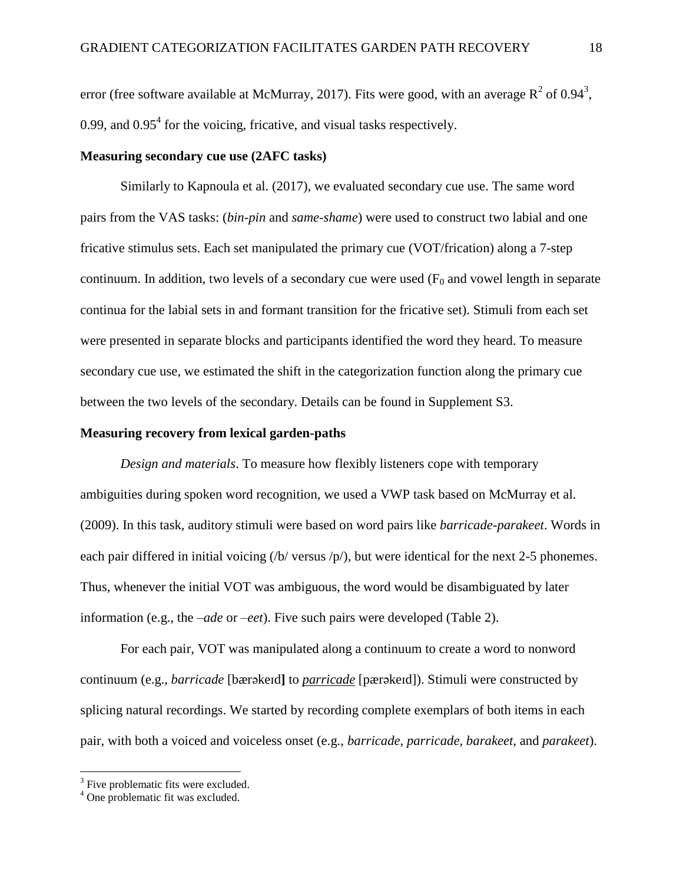error (free software available at McMurray, 2017). Fits were good, with an average  $R^2$  of 0.94<sup>3</sup>, 0.99, and  $0.95<sup>4</sup>$  for the voicing, fricative, and visual tasks respectively.

# **Measuring secondary cue use (2AFC tasks)**

Similarly to Kapnoula et al. (2017), we evaluated secondary cue use. The same word pairs from the VAS tasks: (*bin*-*pin* and *same*-*shame*) were used to construct two labial and one fricative stimulus sets. Each set manipulated the primary cue (VOT/frication) along a 7-step continuum. In addition, two levels of a secondary cue were used  $(F<sub>0</sub>$  and vowel length in separate continua for the labial sets in and formant transition for the fricative set). Stimuli from each set were presented in separate blocks and participants identified the word they heard. To measure secondary cue use, we estimated the shift in the categorization function along the primary cue between the two levels of the secondary. Details can be found in Supplement S3.

## **Measuring recovery from lexical garden-paths**

*Design and materials*. To measure how flexibly listeners cope with temporary ambiguities during spoken word recognition, we used a VWP task based on McMurray et al. (2009). In this task, auditory stimuli were based on word pairs like *barricade*-*parakeet*. Words in each pair differed in initial voicing  $(b/$  versus  $/p$ ), but were identical for the next 2-5 phonemes. Thus, whenever the initial VOT was ambiguous, the word would be disambiguated by later information (e.g., the *–ade* or *–eet*). Five such pairs were developed (Table 2).

For each pair, VOT was manipulated along a continuum to create a word to nonword continuum (e.g., *barricade* [bærəkeɪd**]** to *parricade* [pærəkeɪd]). Stimuli were constructed by splicing natural recordings. We started by recording complete exemplars of both items in each pair, with both a voiced and voiceless onset (e.g., *barricade, parricade, barakeet,* and *parakeet*).

 $\overline{a}$ 

<sup>&</sup>lt;sup>3</sup> Five problematic fits were excluded.

<sup>&</sup>lt;sup>4</sup> One problematic fit was excluded.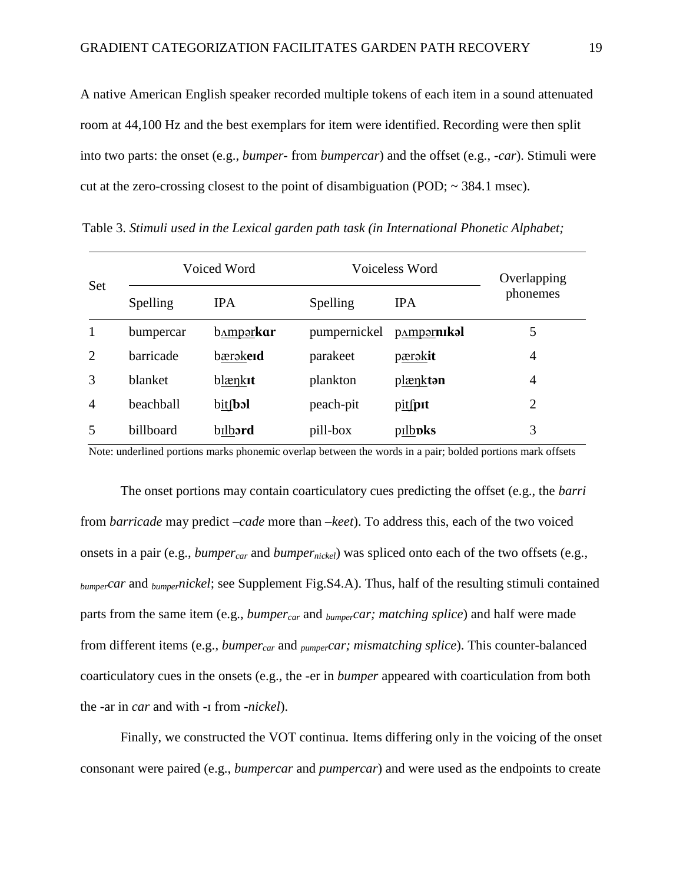A native American English speaker recorded multiple tokens of each item in a sound attenuated room at 44,100 Hz and the best exemplars for item were identified. Recording were then split into two parts: the onset (e.g., *bumper*- from *bumpercar*) and the offset (e.g., -*car*). Stimuli were cut at the zero-crossing closest to the point of disambiguation (POD;  $\sim$  384.1 msec).

| Set | Voiced Word      |            | Voiceless Word |                                 | Overlapping    |
|-----|------------------|------------|----------------|---------------------------------|----------------|
|     | Spelling         | <b>IPA</b> | Spelling       | <b>IPA</b>                      | phonemes       |
|     | bumpercar        | bamparkar  | pumpernickel   | <b>p</b> <sub>A</sub> mparnikal | 5              |
| 2   | barricade        | bærəkeid   | parakeet       | pærakit                         | 4              |
| 3   | <b>blanket</b>   | blænkit    | plankton       | plænkton                        | 4              |
| 4   | beachball        | bit(bol    | peach-pit      | pitfpit                         | $\overline{2}$ |
|     | <b>billboard</b> | bilbard    | pill-box       | pilb <b>pks</b>                 | 3              |

Table 3. *Stimuli used in the Lexical garden path task (in International Phonetic Alphabet;* 

Note: underlined portions marks phonemic overlap between the words in a pair; bolded portions mark offsets

The onset portions may contain coarticulatory cues predicting the offset (e.g., the *barri*  from *barricade* may predict *–cade* more than *–keet*). To address this, each of the two voiced onsets in a pair (e.g., *bumpercar* and *bumpernickel*) was spliced onto each of the two offsets (e.g., *bumpercar* and *bumpernickel*; see Supplement Fig.S4.A). Thus, half of the resulting stimuli contained parts from the same item (e.g., *bumpercar* and *bumpercar; matching splice*) and half were made from different items (e.g., *bumpercar* and *pumpercar; mismatching splice*). This counter-balanced coarticulatory cues in the onsets (e.g., the -er in *bumper* appeared with coarticulation from both the -ar in *car* and with -ɪ from -*nickel*).

Finally, we constructed the VOT continua. Items differing only in the voicing of the onset consonant were paired (e.g., *bumpercar* and *pumpercar*) and were used as the endpoints to create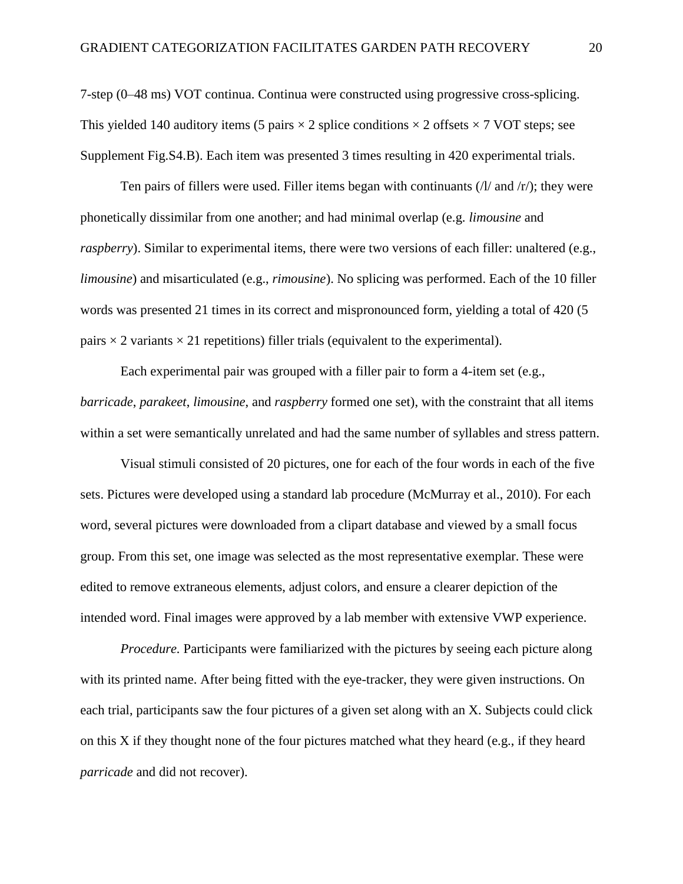7-step (0–48 ms) VOT continua. Continua were constructed using progressive cross-splicing. This yielded 140 auditory items (5 pairs  $\times$  2 splice conditions  $\times$  2 offsets  $\times$  7 VOT steps; see Supplement Fig.S4.B). Each item was presented 3 times resulting in 420 experimental trials.

Ten pairs of fillers were used. Filler items began with continuants  $(1/$  and  $/r$ ); they were phonetically dissimilar from one another; and had minimal overlap (e.g. *limousine* and *raspberry*). Similar to experimental items, there were two versions of each filler: unaltered (e.g., *limousine*) and misarticulated (e.g., *rimousine*). No splicing was performed. Each of the 10 filler words was presented 21 times in its correct and mispronounced form, yielding a total of 420 (5 pairs  $\times$  2 variants  $\times$  21 repetitions) filler trials (equivalent to the experimental).

Each experimental pair was grouped with a filler pair to form a 4-item set (e.g., *barricade*, *parakeet*, *limousine*, and *raspberry* formed one set), with the constraint that all items within a set were semantically unrelated and had the same number of syllables and stress pattern.

Visual stimuli consisted of 20 pictures, one for each of the four words in each of the five sets. Pictures were developed using a standard lab procedure (McMurray et al., 2010). For each word, several pictures were downloaded from a clipart database and viewed by a small focus group. From this set, one image was selected as the most representative exemplar. These were edited to remove extraneous elements, adjust colors, and ensure a clearer depiction of the intended word. Final images were approved by a lab member with extensive VWP experience.

*Procedure.* Participants were familiarized with the pictures by seeing each picture along with its printed name. After being fitted with the eye-tracker, they were given instructions. On each trial, participants saw the four pictures of a given set along with an X. Subjects could click on this X if they thought none of the four pictures matched what they heard (e.g., if they heard *parricade* and did not recover).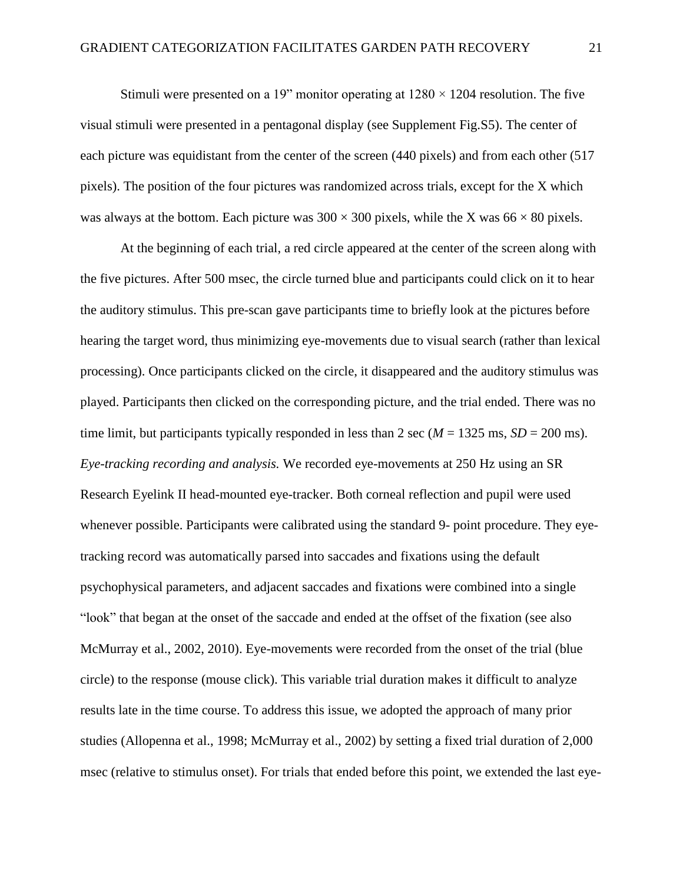Stimuli were presented on a 19" monitor operating at  $1280 \times 1204$  resolution. The five visual stimuli were presented in a pentagonal display (see Supplement Fig.S5). The center of each picture was equidistant from the center of the screen (440 pixels) and from each other (517 pixels). The position of the four pictures was randomized across trials, except for the X which was always at the bottom. Each picture was  $300 \times 300$  pixels, while the X was  $66 \times 80$  pixels.

At the beginning of each trial, a red circle appeared at the center of the screen along with the five pictures. After 500 msec, the circle turned blue and participants could click on it to hear the auditory stimulus. This pre-scan gave participants time to briefly look at the pictures before hearing the target word, thus minimizing eye-movements due to visual search (rather than lexical processing). Once participants clicked on the circle, it disappeared and the auditory stimulus was played. Participants then clicked on the corresponding picture, and the trial ended. There was no time limit, but participants typically responded in less than 2 sec ( $M = 1325$  ms,  $SD = 200$  ms). *Eye-tracking recording and analysis.* We recorded eye-movements at 250 Hz using an SR Research Eyelink II head-mounted eye-tracker. Both corneal reflection and pupil were used whenever possible. Participants were calibrated using the standard 9- point procedure. They eyetracking record was automatically parsed into saccades and fixations using the default psychophysical parameters, and adjacent saccades and fixations were combined into a single "look" that began at the onset of the saccade and ended at the offset of the fixation (see also McMurray et al., 2002, 2010). Eye-movements were recorded from the onset of the trial (blue circle) to the response (mouse click). This variable trial duration makes it difficult to analyze results late in the time course. To address this issue, we adopted the approach of many prior studies (Allopenna et al., 1998; McMurray et al., 2002) by setting a fixed trial duration of 2,000 msec (relative to stimulus onset). For trials that ended before this point, we extended the last eye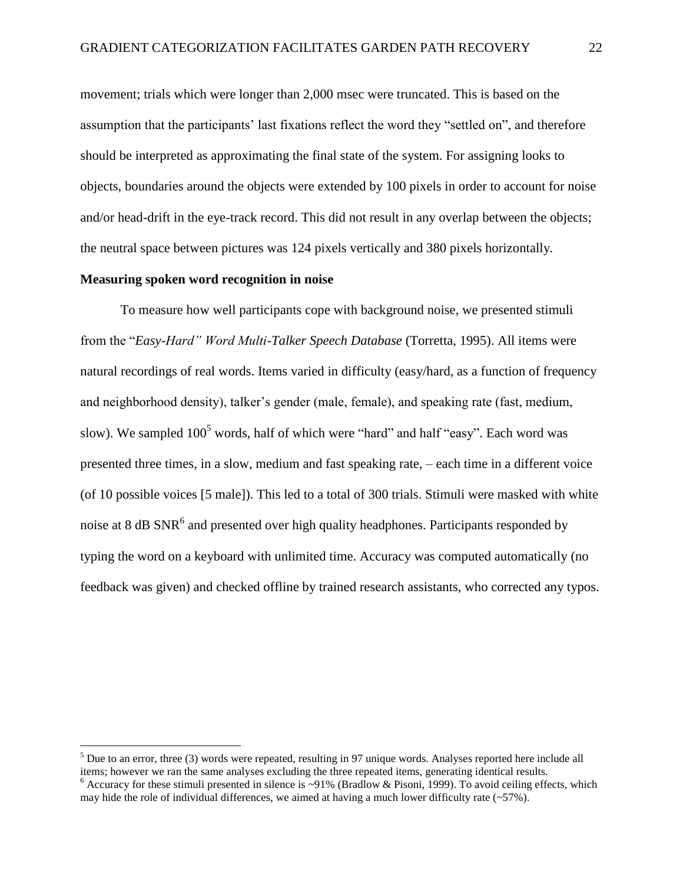movement; trials which were longer than 2,000 msec were truncated. This is based on the assumption that the participants' last fixations reflect the word they "settled on", and therefore should be interpreted as approximating the final state of the system. For assigning looks to objects, boundaries around the objects were extended by 100 pixels in order to account for noise and/or head-drift in the eye-track record. This did not result in any overlap between the objects; the neutral space between pictures was 124 pixels vertically and 380 pixels horizontally.

## **Measuring spoken word recognition in noise**

 $\overline{a}$ 

To measure how well participants cope with background noise, we presented stimuli from the "*Easy-Hard" Word Multi-Talker Speech Database* (Torretta, 1995). All items were natural recordings of real words. Items varied in difficulty (easy/hard, as a function of frequency and neighborhood density), talker's gender (male, female), and speaking rate (fast, medium, slow). We sampled  $100<sup>5</sup>$  words, half of which were "hard" and half "easy". Each word was presented three times, in a slow, medium and fast speaking rate, – each time in a different voice (of 10 possible voices [5 male]). This led to a total of 300 trials. Stimuli were masked with white noise at 8 dB  $SNR<sup>6</sup>$  and presented over high quality headphones. Participants responded by typing the word on a keyboard with unlimited time. Accuracy was computed automatically (no feedback was given) and checked offline by trained research assistants, who corrected any typos.

 $<sup>5</sup>$  Due to an error, three (3) words were repeated, resulting in 97 unique words. Analyses reported here include all</sup> items; however we ran the same analyses excluding the three repeated items, generating identical results.

<sup>&</sup>lt;sup>6</sup> Accuracy for these stimuli presented in silence is ~91% (Bradlow & Pisoni, 1999). To avoid ceiling effects, which may hide the role of individual differences, we aimed at having a much lower difficulty rate  $(-57\%)$ .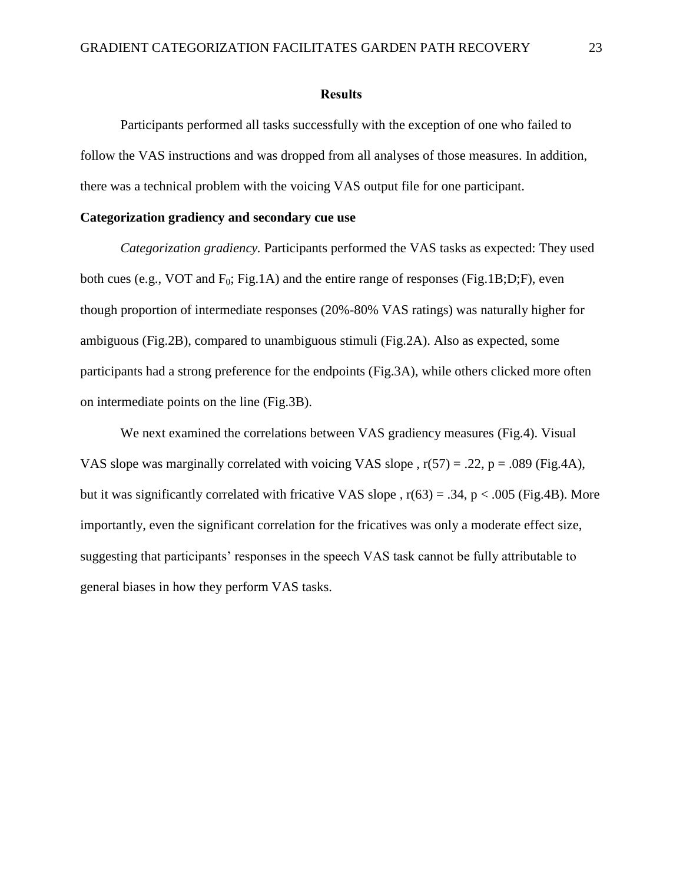#### **Results**

Participants performed all tasks successfully with the exception of one who failed to follow the VAS instructions and was dropped from all analyses of those measures. In addition, there was a technical problem with the voicing VAS output file for one participant.

# **Categorization gradiency and secondary cue use**

*Categorization gradiency.* Participants performed the VAS tasks as expected: They used both cues (e.g., VOT and  $F_0$ ; Fig.1A) and the entire range of responses (Fig.1B;D;F), even though proportion of intermediate responses (20%-80% VAS ratings) was naturally higher for ambiguous (Fig.2B), compared to unambiguous stimuli (Fig.2A). Also as expected, some participants had a strong preference for the endpoints (Fig.3A), while others clicked more often on intermediate points on the line (Fig.3B).

We next examined the correlations between VAS gradiency measures (Fig.4). Visual VAS slope was marginally correlated with voicing VAS slope,  $r(57) = .22$ ,  $p = .089$  (Fig.4A), but it was significantly correlated with fricative VAS slope ,  $r(63) = .34$ ,  $p < .005$  (Fig.4B). More importantly, even the significant correlation for the fricatives was only a moderate effect size, suggesting that participants' responses in the speech VAS task cannot be fully attributable to general biases in how they perform VAS tasks.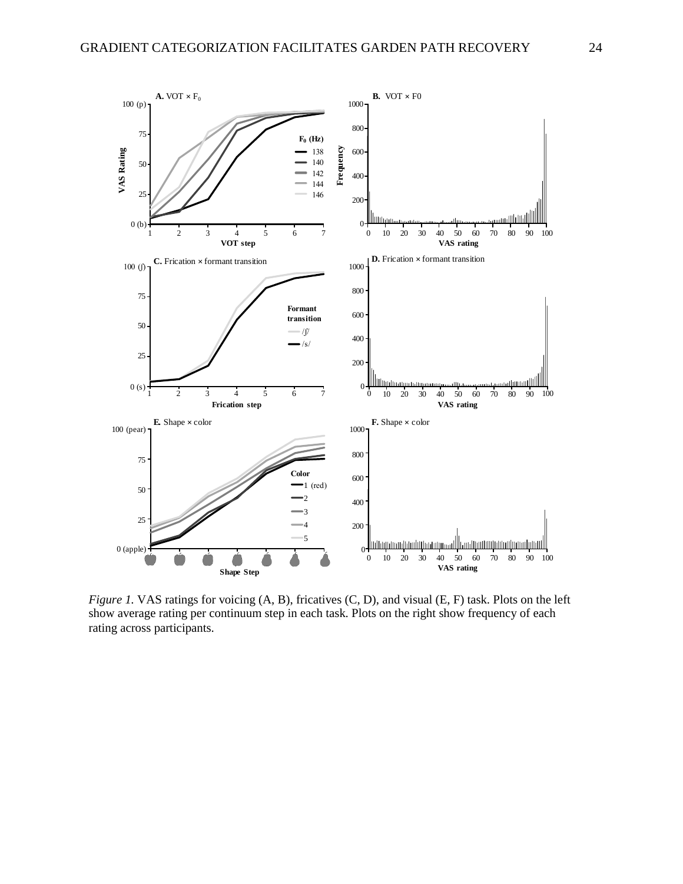

*Figure 1.* VAS ratings for voicing (A, B), fricatives (C, D), and visual (E, F) task. Plots on the left show average rating per continuum step in each task. Plots on the right show frequency of each rating across participants.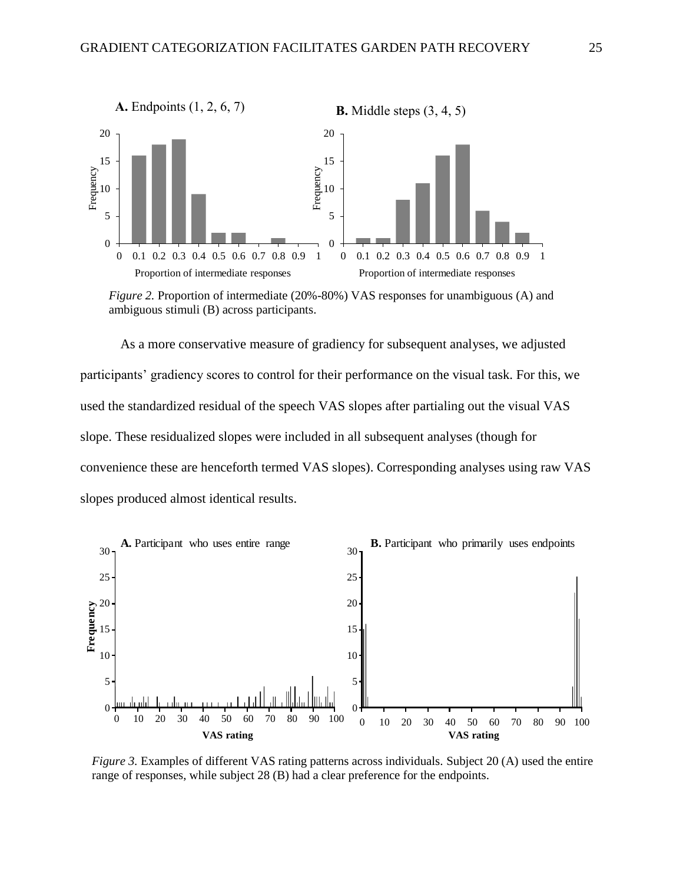

*Figure 2.* Proportion of intermediate (20%-80%) VAS responses for unambiguous (A) and ambiguous stimuli (B) across participants.

As a more conservative measure of gradiency for subsequent analyses, we adjusted participants' gradiency scores to control for their performance on the visual task. For this, we used the standardized residual of the speech VAS slopes after partialing out the visual VAS slope. These residualized slopes were included in all subsequent analyses (though for convenience these are henceforth termed VAS slopes). Corresponding analyses using raw VAS slopes produced almost identical results.



*Figure 3.* Examples of different VAS rating patterns across individuals. Subject 20 (A) used the entire range of responses, while subject 28 (B) had a clear preference for the endpoints.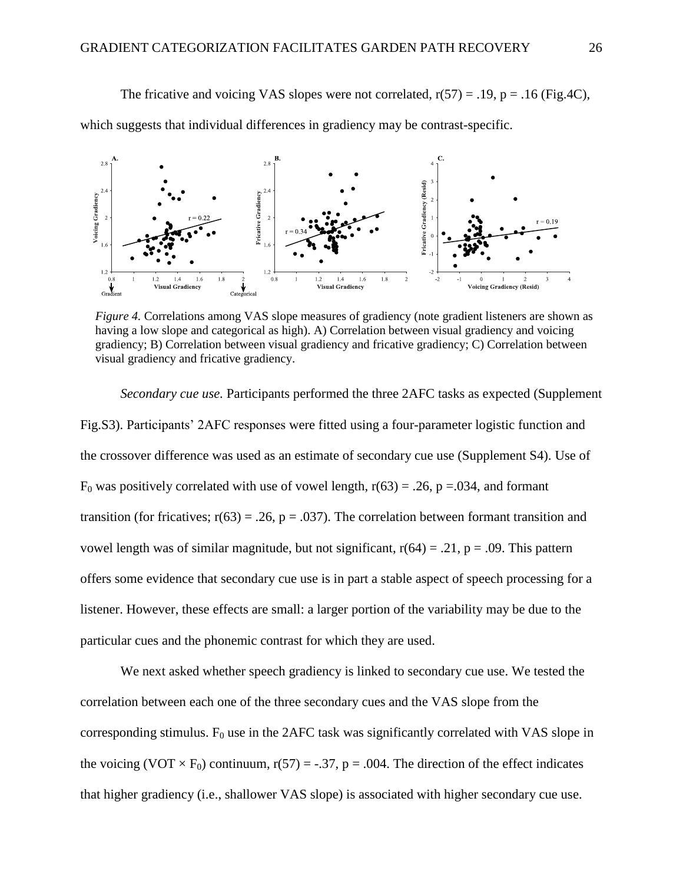The fricative and voicing VAS slopes were not correlated,  $r(57) = .19$ ,  $p = .16$  (Fig.4C),

which suggests that individual differences in gradiency may be contrast-specific.



*Figure 4.* Correlations among VAS slope measures of gradiency (note gradient listeners are shown as having a low slope and categorical as high). A) Correlation between visual gradiency and voicing gradiency; B) Correlation between visual gradiency and fricative gradiency; C) Correlation between visual gradiency and fricative gradiency.

*Secondary cue use.* Participants performed the three 2AFC tasks as expected (Supplement Fig.S3). Participants' 2AFC responses were fitted using a four-parameter logistic function and the crossover difference was used as an estimate of secondary cue use (Supplement S4). Use of  $F_0$  was positively correlated with use of vowel length,  $r(63) = .26$ , p = 0.034, and formant transition (for fricatives;  $r(63) = .26$ ,  $p = .037$ ). The correlation between formant transition and vowel length was of similar magnitude, but not significant,  $r(64) = .21$ ,  $p = .09$ . This pattern offers some evidence that secondary cue use is in part a stable aspect of speech processing for a listener. However, these effects are small: a larger portion of the variability may be due to the particular cues and the phonemic contrast for which they are used.

We next asked whether speech gradiency is linked to secondary cue use. We tested the correlation between each one of the three secondary cues and the VAS slope from the corresponding stimulus.  $F_0$  use in the 2AFC task was significantly correlated with VAS slope in the voicing (VOT  $\times$  F<sub>0</sub>) continuum, r(57) = -.37, p = .004. The direction of the effect indicates that higher gradiency (i.e., shallower VAS slope) is associated with higher secondary cue use.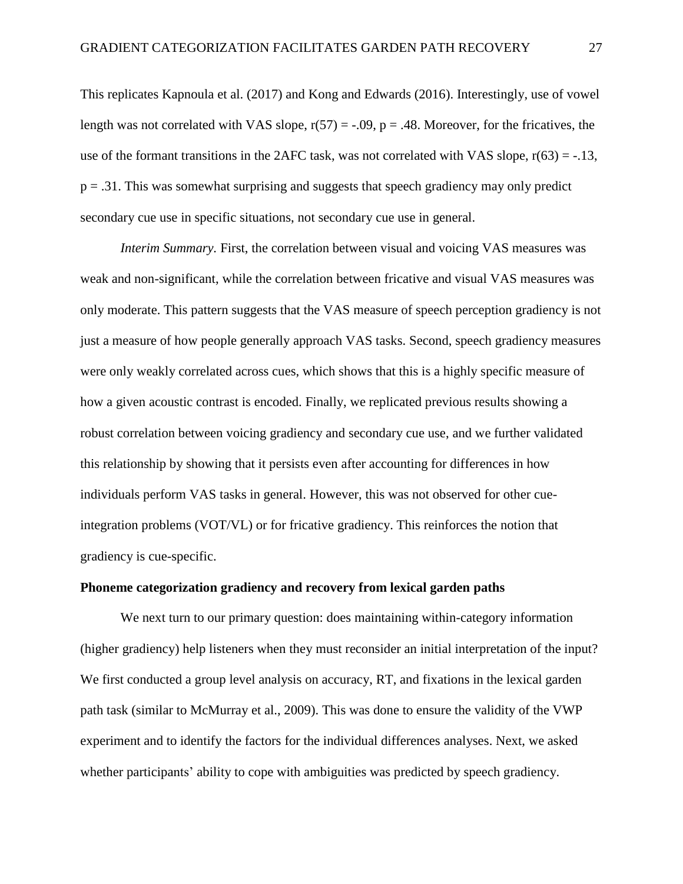This replicates Kapnoula et al. (2017) and Kong and Edwards (2016). Interestingly, use of vowel length was not correlated with VAS slope,  $r(57) = -.09$ ,  $p = .48$ . Moreover, for the fricatives, the use of the formant transitions in the 2AFC task, was not correlated with VAS slope,  $r(63) = -.13$ ,  $p = 0.31$ . This was somewhat surprising and suggests that speech gradiency may only predict secondary cue use in specific situations, not secondary cue use in general.

*Interim Summary.* First, the correlation between visual and voicing VAS measures was weak and non-significant, while the correlation between fricative and visual VAS measures was only moderate. This pattern suggests that the VAS measure of speech perception gradiency is not just a measure of how people generally approach VAS tasks. Second, speech gradiency measures were only weakly correlated across cues, which shows that this is a highly specific measure of how a given acoustic contrast is encoded. Finally, we replicated previous results showing a robust correlation between voicing gradiency and secondary cue use, and we further validated this relationship by showing that it persists even after accounting for differences in how individuals perform VAS tasks in general. However, this was not observed for other cueintegration problems (VOT/VL) or for fricative gradiency. This reinforces the notion that gradiency is cue-specific.

### **Phoneme categorization gradiency and recovery from lexical garden paths**

We next turn to our primary question: does maintaining within-category information (higher gradiency) help listeners when they must reconsider an initial interpretation of the input? We first conducted a group level analysis on accuracy, RT, and fixations in the lexical garden path task (similar to McMurray et al., 2009). This was done to ensure the validity of the VWP experiment and to identify the factors for the individual differences analyses. Next, we asked whether participants' ability to cope with ambiguities was predicted by speech gradiency.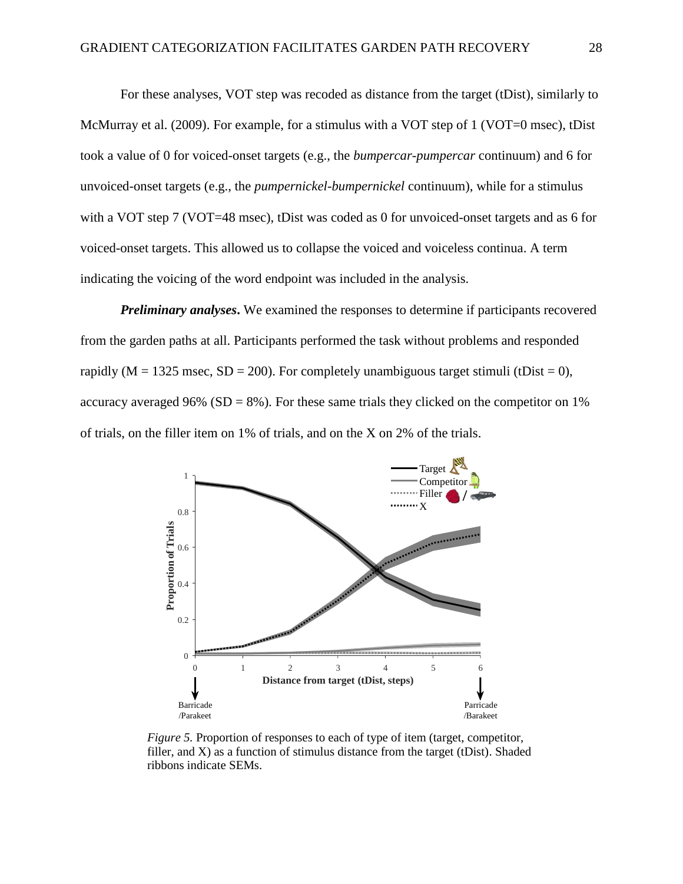For these analyses, VOT step was recoded as distance from the target (tDist), similarly to McMurray et al. (2009). For example, for a stimulus with a VOT step of 1 (VOT=0 msec), tDist took a value of 0 for voiced-onset targets (e.g., the *bumpercar-pumpercar* continuum) and 6 for unvoiced-onset targets (e.g., the *pumpernickel-bumpernickel* continuum), while for a stimulus with a VOT step 7 (VOT=48 msec), tDist was coded as 0 for unvoiced-onset targets and as 6 for voiced-onset targets. This allowed us to collapse the voiced and voiceless continua. A term indicating the voicing of the word endpoint was included in the analysis.

*Preliminary analyses***.** We examined the responses to determine if participants recovered from the garden paths at all. Participants performed the task without problems and responded rapidly ( $M = 1325$  msec,  $SD = 200$ ). For completely unambiguous target stimuli (tDist = 0), accuracy averaged 96% ( $SD = 8$ %). For these same trials they clicked on the competitor on 1% of trials, on the filler item on 1% of trials, and on the X on 2% of the trials.



*Figure 5.* Proportion of responses to each of type of item (target, competitor, filler, and X) as a function of stimulus distance from the target (tDist). Shaded ribbons indicate SEMs.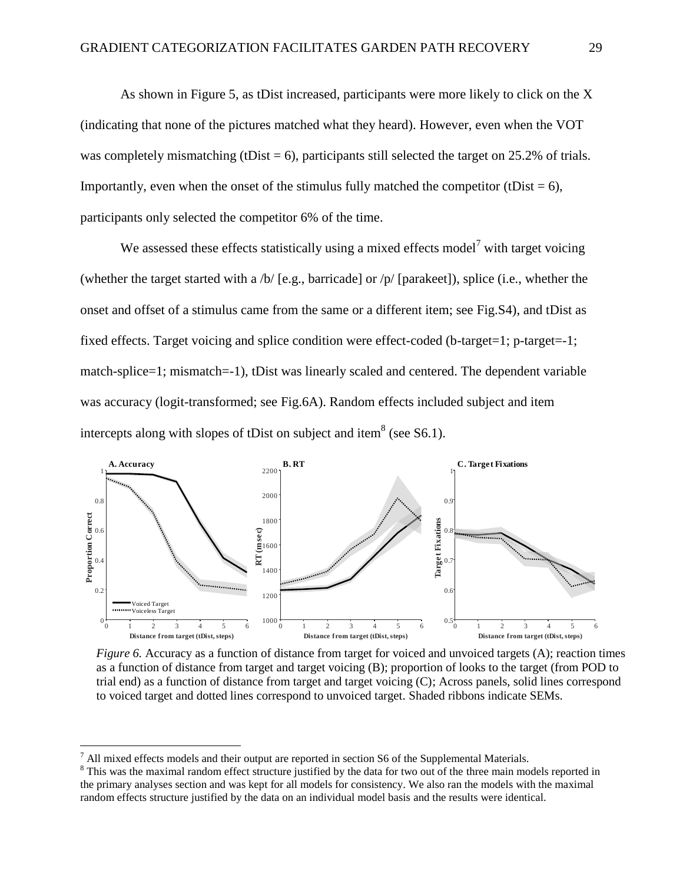As shown in Figure 5, as tDist increased, participants were more likely to click on the X (indicating that none of the pictures matched what they heard). However, even when the VOT was completely mismatching (tDist  $= 6$ ), participants still selected the target on 25.2% of trials. Importantly, even when the onset of the stimulus fully matched the competitor (tDist  $= 6$ ), participants only selected the competitor 6% of the time.

We assessed these effects statistically using a mixed effects model<sup>7</sup> with target voicing (whether the target started with a /b/ [e.g., barricade] or /p/ [parakeet]), splice (i.e., whether the onset and offset of a stimulus came from the same or a different item; see Fig.S4), and tDist as fixed effects. Target voicing and splice condition were effect-coded (b-target=1; p-target=-1; match-splice=1; mismatch=-1), tDist was linearly scaled and centered. The dependent variable was accuracy (logit-transformed; see Fig.6A). Random effects included subject and item intercepts along with slopes of tDist on subject and item<sup>8</sup> (see S6.1).



*Figure 6.* Accuracy as a function of distance from target for voiced and unvoiced targets (A); reaction times as a function of distance from target and target voicing (B); proportion of looks to the target (from POD to trial end) as a function of distance from target and target voicing (C); Across panels, solid lines correspond to voiced target and dotted lines correspond to unvoiced target. Shaded ribbons indicate SEMs.

 $\overline{a}$ 

 $<sup>7</sup>$  All mixed effects models and their output are reported in section S6 of the Supplemental Materials.</sup>

<sup>&</sup>lt;sup>8</sup> This was the maximal random effect structure justified by the data for two out of the three main models reported in the primary analyses section and was kept for all models for consistency. We also ran the models with the maximal random effects structure justified by the data on an individual model basis and the results were identical.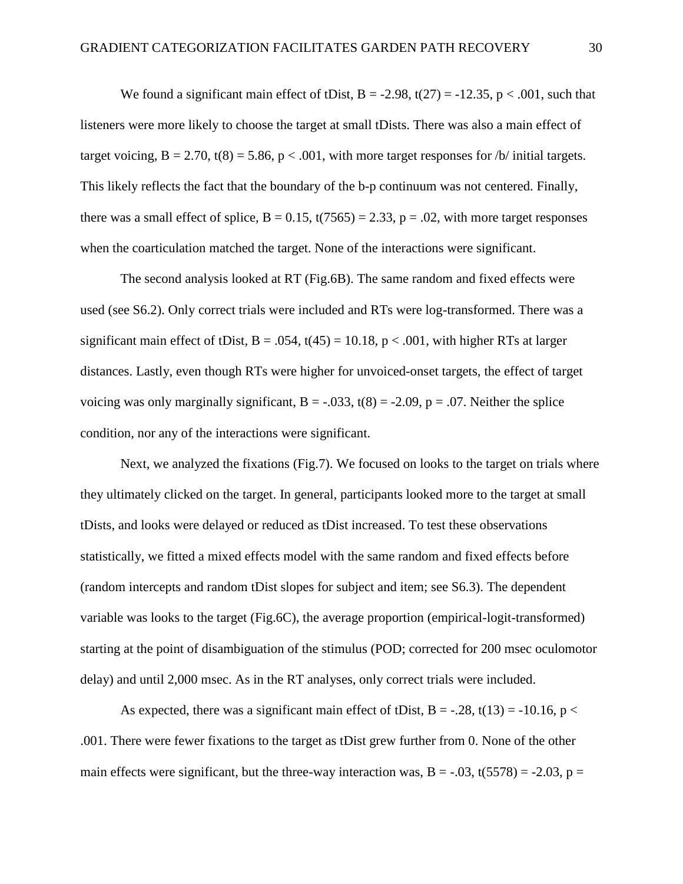We found a significant main effect of tDist,  $B = -2.98$ ,  $t(27) = -12.35$ ,  $p < .001$ , such that listeners were more likely to choose the target at small tDists. There was also a main effect of target voicing,  $B = 2.70$ ,  $t(8) = 5.86$ ,  $p < .001$ , with more target responses for *b*/ initial targets. This likely reflects the fact that the boundary of the b-p continuum was not centered. Finally, there was a small effect of splice,  $B = 0.15$ ,  $t(7565) = 2.33$ ,  $p = .02$ , with more target responses when the coarticulation matched the target. None of the interactions were significant.

The second analysis looked at RT (Fig.6B). The same random and fixed effects were used (see S6.2). Only correct trials were included and RTs were log-transformed. There was a significant main effect of tDist,  $B = .054$ ,  $t(45) = 10.18$ ,  $p < .001$ , with higher RTs at larger distances. Lastly, even though RTs were higher for unvoiced-onset targets, the effect of target voicing was only marginally significant,  $B = -0.033$ ,  $t(8) = -2.09$ ,  $p = 0.07$ . Neither the splice condition, nor any of the interactions were significant.

Next, we analyzed the fixations (Fig.7). We focused on looks to the target on trials where they ultimately clicked on the target. In general, participants looked more to the target at small tDists, and looks were delayed or reduced as tDist increased. To test these observations statistically, we fitted a mixed effects model with the same random and fixed effects before (random intercepts and random tDist slopes for subject and item; see S6.3). The dependent variable was looks to the target (Fig.6C), the average proportion (empirical-logit-transformed) starting at the point of disambiguation of the stimulus (POD; corrected for 200 msec oculomotor delay) and until 2,000 msec. As in the RT analyses, only correct trials were included.

As expected, there was a significant main effect of tDist, B = -.28, t(13) = -10.16, p < .001. There were fewer fixations to the target as tDist grew further from 0. None of the other main effects were significant, but the three-way interaction was,  $B = -0.03$ ,  $t(5578) = -2.03$ ,  $p =$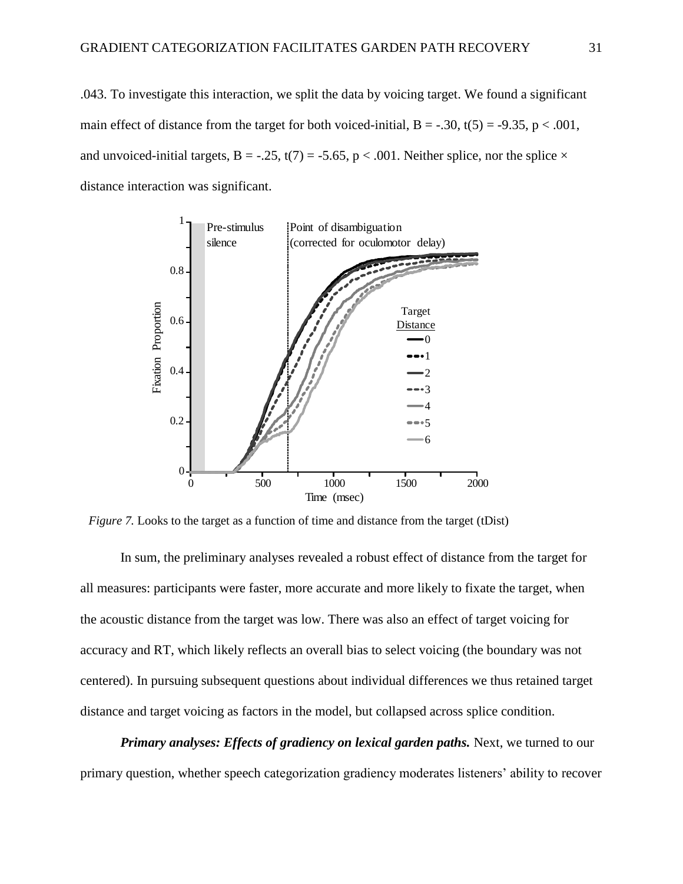.043. To investigate this interaction, we split the data by voicing target. We found a significant main effect of distance from the target for both voiced-initial,  $B = -.30$ ,  $t(5) = -9.35$ ,  $p < .001$ , and unvoiced-initial targets, B = -.25, t(7) = -5.65, p < .001. Neither splice, nor the splice  $\times$ distance interaction was significant.



*Figure 7.* Looks to the target as a function of time and distance from the target (tDist)

In sum, the preliminary analyses revealed a robust effect of distance from the target for all measures: participants were faster, more accurate and more likely to fixate the target, when the acoustic distance from the target was low. There was also an effect of target voicing for accuracy and RT, which likely reflects an overall bias to select voicing (the boundary was not centered). In pursuing subsequent questions about individual differences we thus retained target distance and target voicing as factors in the model, but collapsed across splice condition.

*Primary analyses: Effects of gradiency on lexical garden paths.* Next, we turned to our primary question, whether speech categorization gradiency moderates listeners' ability to recover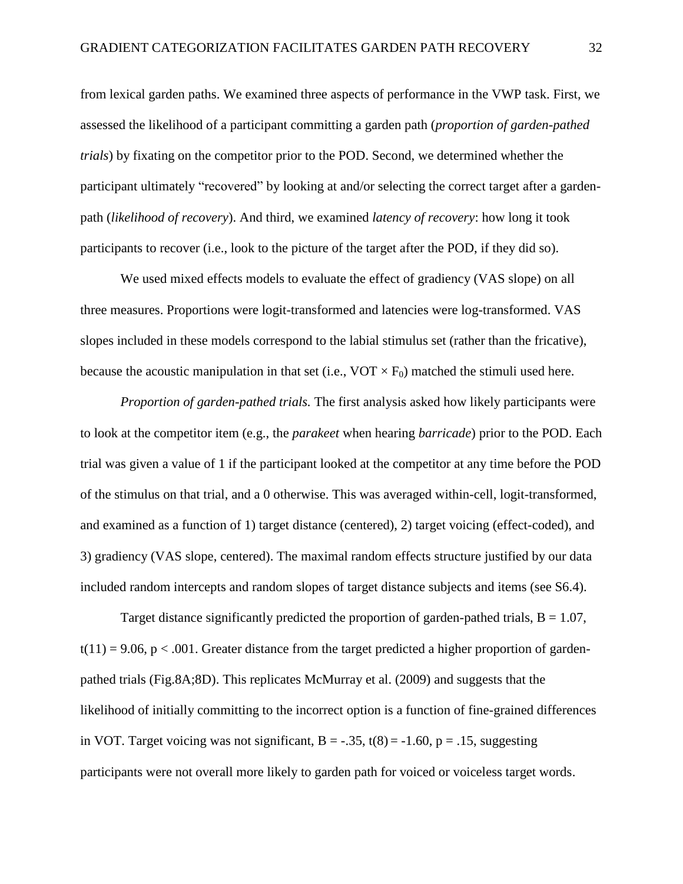from lexical garden paths. We examined three aspects of performance in the VWP task. First, we assessed the likelihood of a participant committing a garden path (*proportion of garden-pathed trials*) by fixating on the competitor prior to the POD. Second, we determined whether the participant ultimately "recovered" by looking at and/or selecting the correct target after a gardenpath (*likelihood of recovery*). And third, we examined *latency of recovery*: how long it took participants to recover (i.e., look to the picture of the target after the POD, if they did so).

We used mixed effects models to evaluate the effect of gradiency (VAS slope) on all three measures. Proportions were logit-transformed and latencies were log-transformed. VAS slopes included in these models correspond to the labial stimulus set (rather than the fricative), because the acoustic manipulation in that set (i.e.,  $VOT \times F_0$ ) matched the stimuli used here.

*Proportion of garden-pathed trials.* The first analysis asked how likely participants were to look at the competitor item (e.g., the *parakeet* when hearing *barricade*) prior to the POD. Each trial was given a value of 1 if the participant looked at the competitor at any time before the POD of the stimulus on that trial, and a 0 otherwise. This was averaged within-cell, logit-transformed, and examined as a function of 1) target distance (centered), 2) target voicing (effect-coded), and 3) gradiency (VAS slope, centered). The maximal random effects structure justified by our data included random intercepts and random slopes of target distance subjects and items (see S6.4).

Target distance significantly predicted the proportion of garden-pathed trials,  $B = 1.07$ ,  $t(11) = 9.06$ ,  $p < .001$ . Greater distance from the target predicted a higher proportion of gardenpathed trials (Fig.8A;8D). This replicates McMurray et al. (2009) and suggests that the likelihood of initially committing to the incorrect option is a function of fine-grained differences in VOT. Target voicing was not significant,  $B = -.35$ ,  $t(8) = -1.60$ ,  $p = .15$ , suggesting participants were not overall more likely to garden path for voiced or voiceless target words.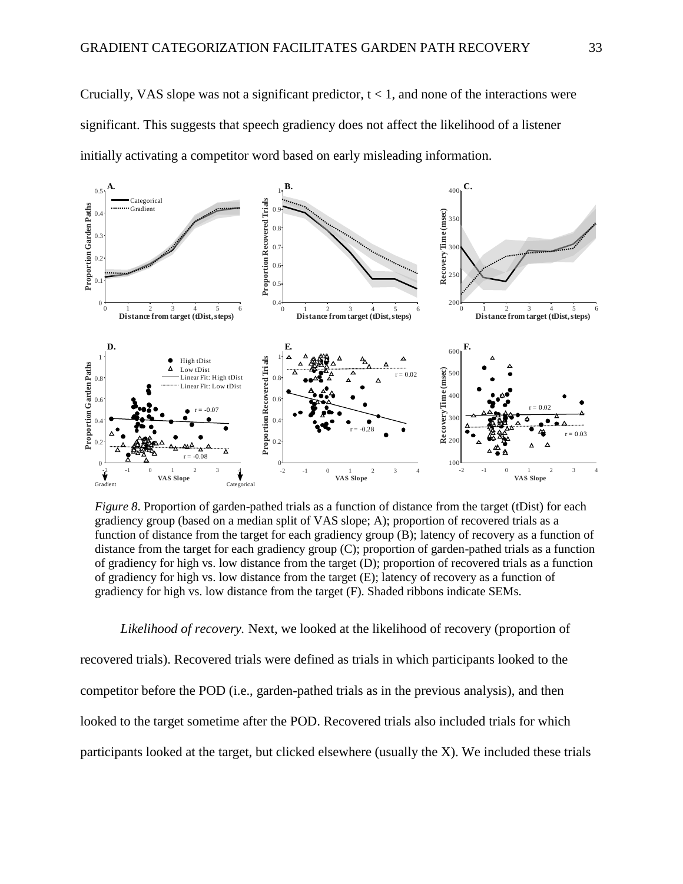Crucially, VAS slope was not a significant predictor,  $t < 1$ , and none of the interactions were significant. This suggests that speech gradiency does not affect the likelihood of a listener initially activating a competitor word based on early misleading information.



*Figure 8*. Proportion of garden-pathed trials as a function of distance from the target (tDist) for each gradiency group (based on a median split of VAS slope; A); proportion of recovered trials as a function of distance from the target for each gradiency group (B); latency of recovery as a function of distance from the target for each gradiency group (C); proportion of garden-pathed trials as a function of gradiency for high vs. low distance from the target (D); proportion of recovered trials as a function of gradiency for high vs. low distance from the target (E); latency of recovery as a function of gradiency for high vs. low distance from the target (F). Shaded ribbons indicate SEMs.

*Likelihood of recovery.* Next, we looked at the likelihood of recovery (proportion of recovered trials). Recovered trials were defined as trials in which participants looked to the competitor before the POD (i.e., garden-pathed trials as in the previous analysis), and then looked to the target sometime after the POD. Recovered trials also included trials for which participants looked at the target, but clicked elsewhere (usually the X). We included these trials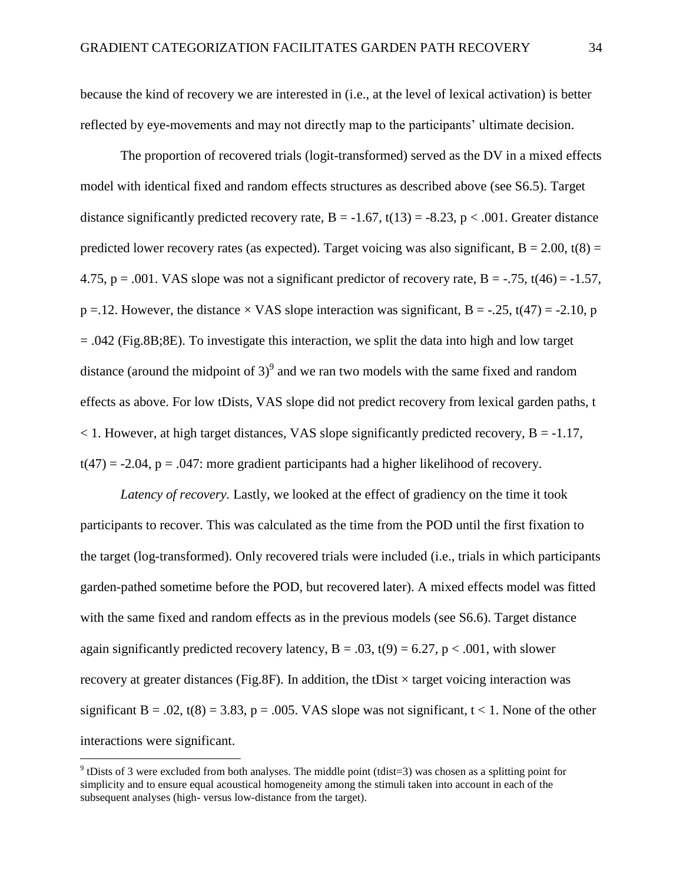because the kind of recovery we are interested in (i.e., at the level of lexical activation) is better reflected by eye-movements and may not directly map to the participants' ultimate decision.

The proportion of recovered trials (logit-transformed) served as the DV in a mixed effects model with identical fixed and random effects structures as described above (see S6.5). Target distance significantly predicted recovery rate,  $B = -1.67$ ,  $t(13) = -8.23$ ,  $p < .001$ . Greater distance predicted lower recovery rates (as expected). Target voicing was also significant,  $B = 2.00$ , t(8) = 4.75, p = .001. VAS slope was not a significant predictor of recovery rate, B =  $-0.75$ , t(46) =  $-1.57$ ,  $p = 12$ . However, the distance  $\times$  VAS slope interaction was significant, B = -.25, t(47) = -2.10, p  $= .042$  (Fig.8B;8E). To investigate this interaction, we split the data into high and low target distance (around the midpoint of 3)<sup>9</sup> and we ran two models with the same fixed and random effects as above. For low tDists, VAS slope did not predict recovery from lexical garden paths, t  $<$  1. However, at high target distances, VAS slope significantly predicted recovery, B = -1.17,  $t(47) = -2.04$ ,  $p = .047$ : more gradient participants had a higher likelihood of recovery.

*Latency of recovery.* Lastly, we looked at the effect of gradiency on the time it took participants to recover. This was calculated as the time from the POD until the first fixation to the target (log-transformed). Only recovered trials were included (i.e., trials in which participants garden-pathed sometime before the POD, but recovered later). A mixed effects model was fitted with the same fixed and random effects as in the previous models (see S6.6). Target distance again significantly predicted recovery latency,  $B = .03$ ,  $t(9) = 6.27$ ,  $p < .001$ , with slower recovery at greater distances (Fig.8F). In addition, the tDist  $\times$  target voicing interaction was significant B = .02, t(8) = 3.83, p = .005. VAS slope was not significant, t < 1. None of the other interactions were significant.

 $\overline{a}$ 

 $9$ <sup>9</sup> tDists of 3 were excluded from both analyses. The middle point (tdist=3) was chosen as a splitting point for simplicity and to ensure equal acoustical homogeneity among the stimuli taken into account in each of the subsequent analyses (high- versus low-distance from the target).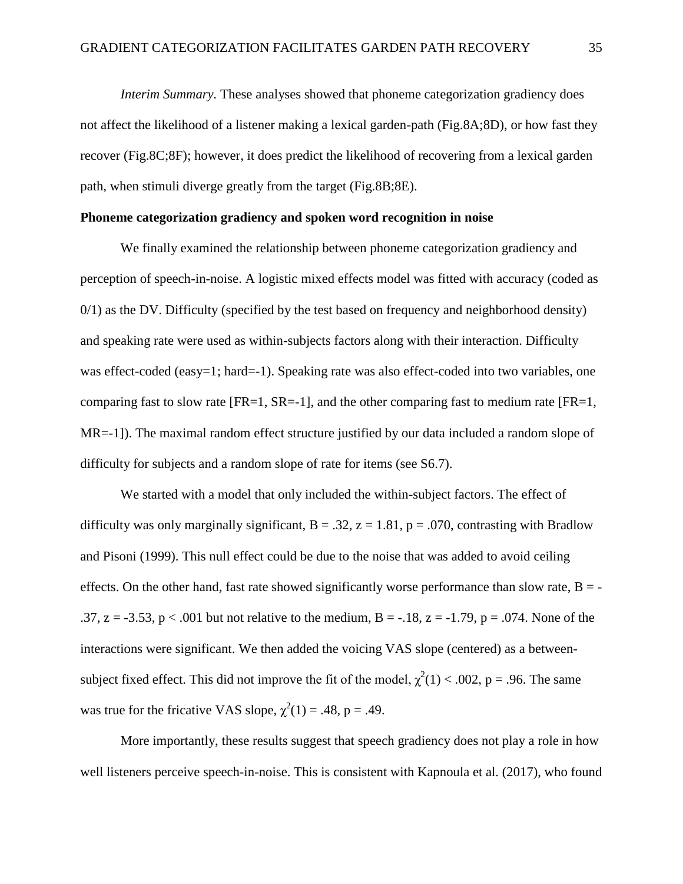*Interim Summary.* These analyses showed that phoneme categorization gradiency does not affect the likelihood of a listener making a lexical garden-path (Fig.8A;8D), or how fast they recover (Fig.8C;8F); however, it does predict the likelihood of recovering from a lexical garden path, when stimuli diverge greatly from the target (Fig.8B;8E).

## **Phoneme categorization gradiency and spoken word recognition in noise**

We finally examined the relationship between phoneme categorization gradiency and perception of speech-in-noise. A logistic mixed effects model was fitted with accuracy (coded as 0/1) as the DV. Difficulty (specified by the test based on frequency and neighborhood density) and speaking rate were used as within-subjects factors along with their interaction. Difficulty was effect-coded (easy=1; hard=-1). Speaking rate was also effect-coded into two variables, one comparing fast to slow rate  $[FR=1, SR=-1]$ , and the other comparing fast to medium rate  $[FR=1,$ MR=-1]). The maximal random effect structure justified by our data included a random slope of difficulty for subjects and a random slope of rate for items (see S6.7).

We started with a model that only included the within-subject factors. The effect of difficulty was only marginally significant,  $B = .32$ ,  $z = 1.81$ ,  $p = .070$ , contrasting with Bradlow and Pisoni (1999). This null effect could be due to the noise that was added to avoid ceiling effects. On the other hand, fast rate showed significantly worse performance than slow rate,  $B = -$ .37,  $z = -3.53$ ,  $p < .001$  but not relative to the medium,  $B = -.18$ ,  $z = -1.79$ ,  $p = .074$ . None of the interactions were significant. We then added the voicing VAS slope (centered) as a betweensubject fixed effect. This did not improve the fit of the model,  $\chi^2(1) < .002$ , p = .96. The same was true for the fricative VAS slope,  $\chi^2(1) = .48$ , p = .49.

More importantly, these results suggest that speech gradiency does not play a role in how well listeners perceive speech-in-noise. This is consistent with Kapnoula et al. (2017), who found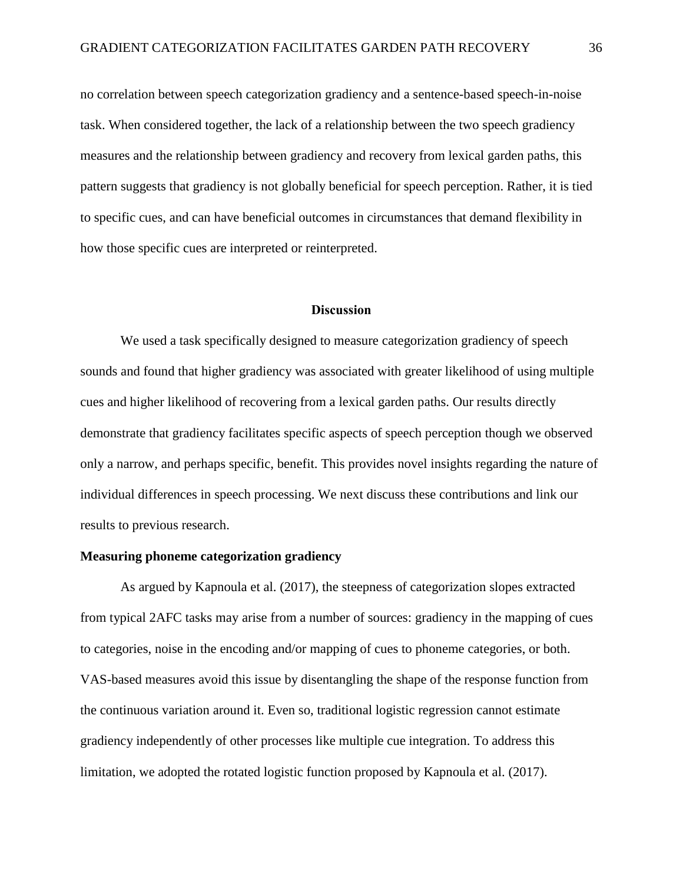no correlation between speech categorization gradiency and a sentence-based speech-in-noise task. When considered together, the lack of a relationship between the two speech gradiency measures and the relationship between gradiency and recovery from lexical garden paths, this pattern suggests that gradiency is not globally beneficial for speech perception. Rather, it is tied to specific cues, and can have beneficial outcomes in circumstances that demand flexibility in how those specific cues are interpreted or reinterpreted.

## **Discussion**

We used a task specifically designed to measure categorization gradiency of speech sounds and found that higher gradiency was associated with greater likelihood of using multiple cues and higher likelihood of recovering from a lexical garden paths. Our results directly demonstrate that gradiency facilitates specific aspects of speech perception though we observed only a narrow, and perhaps specific, benefit. This provides novel insights regarding the nature of individual differences in speech processing. We next discuss these contributions and link our results to previous research.

#### **Measuring phoneme categorization gradiency**

As argued by Kapnoula et al. (2017), the steepness of categorization slopes extracted from typical 2AFC tasks may arise from a number of sources: gradiency in the mapping of cues to categories, noise in the encoding and/or mapping of cues to phoneme categories, or both. VAS-based measures avoid this issue by disentangling the shape of the response function from the continuous variation around it. Even so, traditional logistic regression cannot estimate gradiency independently of other processes like multiple cue integration. To address this limitation, we adopted the rotated logistic function proposed by Kapnoula et al. (2017).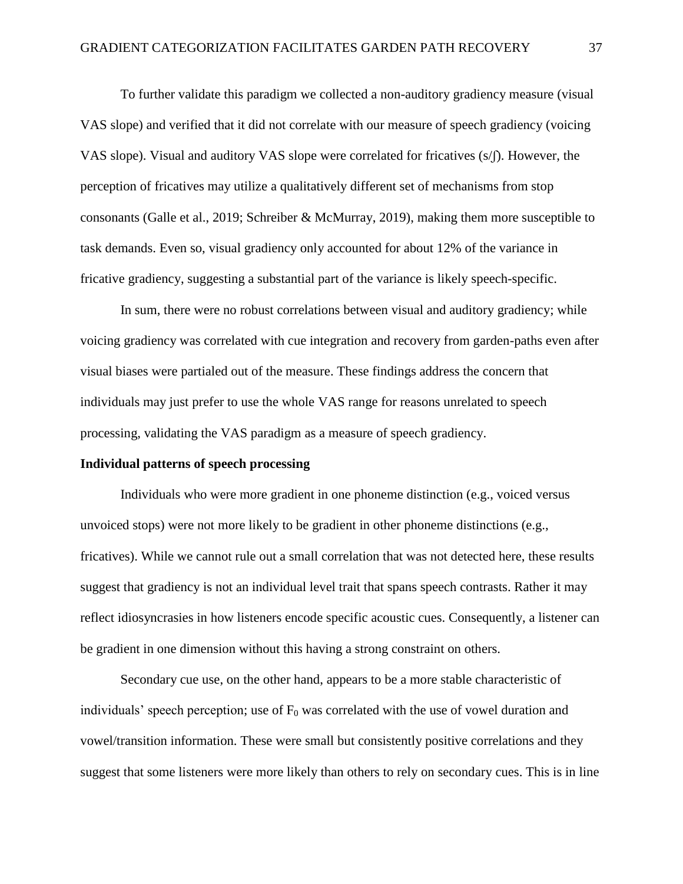To further validate this paradigm we collected a non-auditory gradiency measure (visual VAS slope) and verified that it did not correlate with our measure of speech gradiency (voicing VAS slope). Visual and auditory VAS slope were correlated for fricatives (s/f). However, the perception of fricatives may utilize a qualitatively different set of mechanisms from stop consonants (Galle et al., 2019; Schreiber & McMurray, 2019), making them more susceptible to task demands. Even so, visual gradiency only accounted for about 12% of the variance in fricative gradiency, suggesting a substantial part of the variance is likely speech-specific.

In sum, there were no robust correlations between visual and auditory gradiency; while voicing gradiency was correlated with cue integration and recovery from garden-paths even after visual biases were partialed out of the measure. These findings address the concern that individuals may just prefer to use the whole VAS range for reasons unrelated to speech processing, validating the VAS paradigm as a measure of speech gradiency.

# **Individual patterns of speech processing**

Individuals who were more gradient in one phoneme distinction (e.g., voiced versus unvoiced stops) were not more likely to be gradient in other phoneme distinctions (e.g., fricatives). While we cannot rule out a small correlation that was not detected here, these results suggest that gradiency is not an individual level trait that spans speech contrasts. Rather it may reflect idiosyncrasies in how listeners encode specific acoustic cues. Consequently, a listener can be gradient in one dimension without this having a strong constraint on others.

Secondary cue use, on the other hand, appears to be a more stable characteristic of individuals' speech perception; use of  $F_0$  was correlated with the use of vowel duration and vowel/transition information. These were small but consistently positive correlations and they suggest that some listeners were more likely than others to rely on secondary cues. This is in line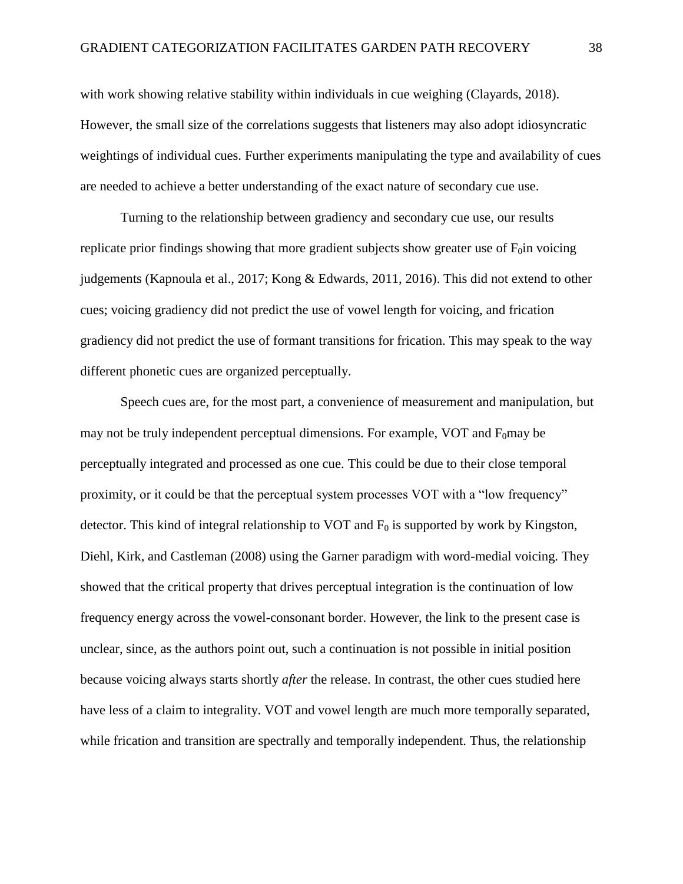with work showing relative stability within individuals in cue weighing (Clayards, 2018). However, the small size of the correlations suggests that listeners may also adopt idiosyncratic weightings of individual cues. Further experiments manipulating the type and availability of cues are needed to achieve a better understanding of the exact nature of secondary cue use.

Turning to the relationship between gradiency and secondary cue use, our results replicate prior findings showing that more gradient subjects show greater use of  $F_0$ in voicing judgements (Kapnoula et al., 2017; Kong & Edwards, 2011, 2016). This did not extend to other cues; voicing gradiency did not predict the use of vowel length for voicing, and frication gradiency did not predict the use of formant transitions for frication. This may speak to the way different phonetic cues are organized perceptually.

Speech cues are, for the most part, a convenience of measurement and manipulation, but may not be truly independent perceptual dimensions. For example, VOT and  $F_0$ may be perceptually integrated and processed as one cue. This could be due to their close temporal proximity, or it could be that the perceptual system processes VOT with a "low frequency" detector. This kind of integral relationship to VOT and  $F_0$  is supported by work by Kingston, Diehl, Kirk, and Castleman (2008) using the Garner paradigm with word-medial voicing. They showed that the critical property that drives perceptual integration is the continuation of low frequency energy across the vowel-consonant border. However, the link to the present case is unclear, since, as the authors point out, such a continuation is not possible in initial position because voicing always starts shortly *after* the release. In contrast, the other cues studied here have less of a claim to integrality. VOT and vowel length are much more temporally separated, while frication and transition are spectrally and temporally independent. Thus, the relationship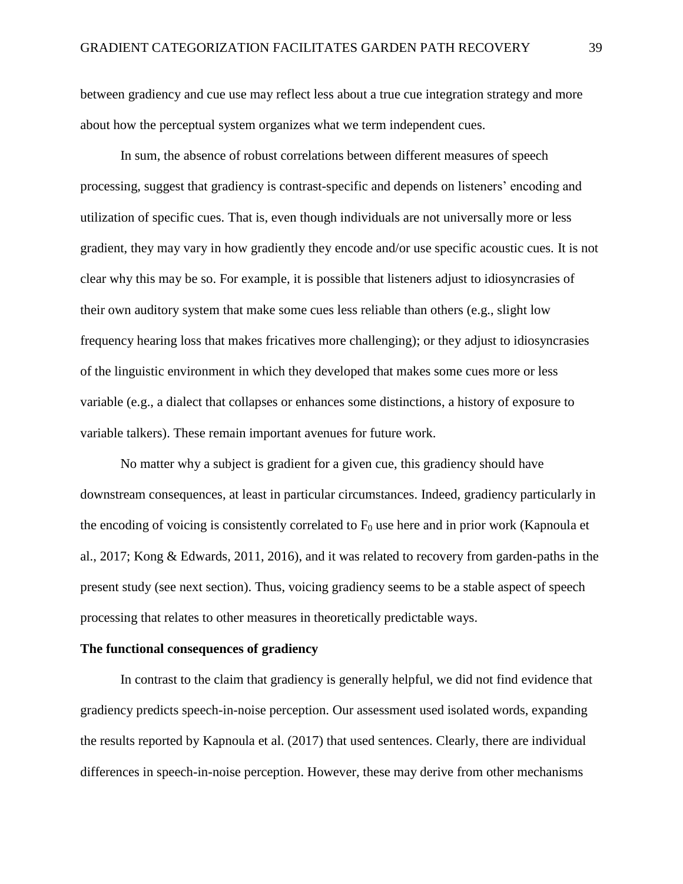between gradiency and cue use may reflect less about a true cue integration strategy and more about how the perceptual system organizes what we term independent cues.

In sum, the absence of robust correlations between different measures of speech processing, suggest that gradiency is contrast-specific and depends on listeners' encoding and utilization of specific cues. That is, even though individuals are not universally more or less gradient, they may vary in how gradiently they encode and/or use specific acoustic cues. It is not clear why this may be so. For example, it is possible that listeners adjust to idiosyncrasies of their own auditory system that make some cues less reliable than others (e.g., slight low frequency hearing loss that makes fricatives more challenging); or they adjust to idiosyncrasies of the linguistic environment in which they developed that makes some cues more or less variable (e.g., a dialect that collapses or enhances some distinctions, a history of exposure to variable talkers). These remain important avenues for future work.

No matter why a subject is gradient for a given cue, this gradiency should have downstream consequences, at least in particular circumstances. Indeed, gradiency particularly in the encoding of voicing is consistently correlated to  $F_0$  use here and in prior work (Kapnoula et al., 2017; Kong & Edwards, 2011, 2016), and it was related to recovery from garden-paths in the present study (see next section). Thus, voicing gradiency seems to be a stable aspect of speech processing that relates to other measures in theoretically predictable ways.

## **The functional consequences of gradiency**

In contrast to the claim that gradiency is generally helpful, we did not find evidence that gradiency predicts speech-in-noise perception. Our assessment used isolated words, expanding the results reported by Kapnoula et al. (2017) that used sentences. Clearly, there are individual differences in speech-in-noise perception. However, these may derive from other mechanisms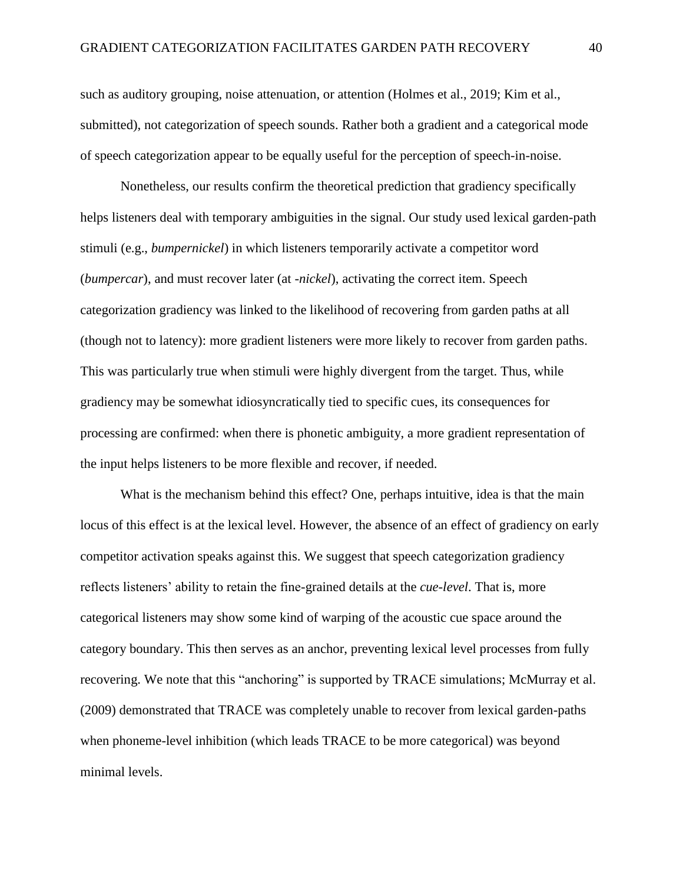such as auditory grouping, noise attenuation, or attention (Holmes et al., 2019; Kim et al., submitted), not categorization of speech sounds. Rather both a gradient and a categorical mode of speech categorization appear to be equally useful for the perception of speech-in-noise.

Nonetheless, our results confirm the theoretical prediction that gradiency specifically helps listeners deal with temporary ambiguities in the signal. Our study used lexical garden-path stimuli (e.g., *bumpernickel*) in which listeners temporarily activate a competitor word (*bumpercar*), and must recover later (at *-nickel*), activating the correct item. Speech categorization gradiency was linked to the likelihood of recovering from garden paths at all (though not to latency): more gradient listeners were more likely to recover from garden paths. This was particularly true when stimuli were highly divergent from the target. Thus, while gradiency may be somewhat idiosyncratically tied to specific cues, its consequences for processing are confirmed: when there is phonetic ambiguity, a more gradient representation of the input helps listeners to be more flexible and recover, if needed.

What is the mechanism behind this effect? One, perhaps intuitive, idea is that the main locus of this effect is at the lexical level. However, the absence of an effect of gradiency on early competitor activation speaks against this. We suggest that speech categorization gradiency reflects listeners' ability to retain the fine-grained details at the *cue-level*. That is, more categorical listeners may show some kind of warping of the acoustic cue space around the category boundary. This then serves as an anchor, preventing lexical level processes from fully recovering. We note that this "anchoring" is supported by TRACE simulations; McMurray et al. (2009) demonstrated that TRACE was completely unable to recover from lexical garden-paths when phoneme-level inhibition (which leads TRACE to be more categorical) was beyond minimal levels.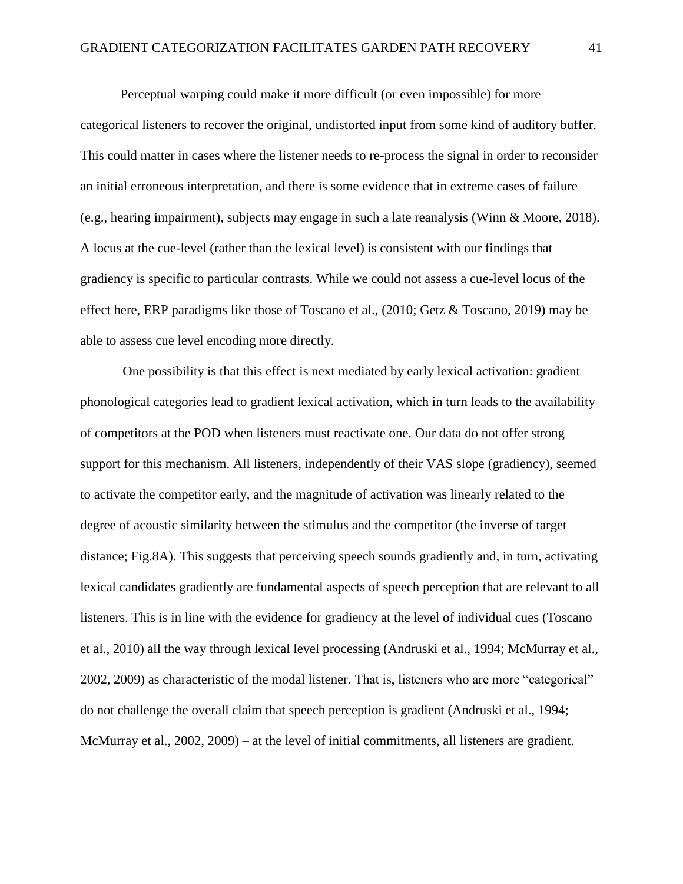Perceptual warping could make it more difficult (or even impossible) for more categorical listeners to recover the original, undistorted input from some kind of auditory buffer. This could matter in cases where the listener needs to re-process the signal in order to reconsider an initial erroneous interpretation, and there is some evidence that in extreme cases of failure (e.g., hearing impairment), subjects may engage in such a late reanalysis (Winn & Moore, 2018). A locus at the cue-level (rather than the lexical level) is consistent with our findings that gradiency is specific to particular contrasts. While we could not assess a cue-level locus of the effect here, ERP paradigms like those of Toscano et al., (2010; Getz & Toscano, 2019) may be able to assess cue level encoding more directly.

One possibility is that this effect is next mediated by early lexical activation: gradient phonological categories lead to gradient lexical activation, which in turn leads to the availability of competitors at the POD when listeners must reactivate one. Our data do not offer strong support for this mechanism. All listeners, independently of their VAS slope (gradiency), seemed to activate the competitor early, and the magnitude of activation was linearly related to the degree of acoustic similarity between the stimulus and the competitor (the inverse of target distance; Fig.8A). This suggests that perceiving speech sounds gradiently and, in turn, activating lexical candidates gradiently are fundamental aspects of speech perception that are relevant to all listeners. This is in line with the evidence for gradiency at the level of individual cues (Toscano et al., 2010) all the way through lexical level processing (Andruski et al., 1994; McMurray et al., 2002, 2009) as characteristic of the modal listener. That is, listeners who are more "categorical" do not challenge the overall claim that speech perception is gradient (Andruski et al., 1994; McMurray et al., 2002, 2009) – at the level of initial commitments, all listeners are gradient.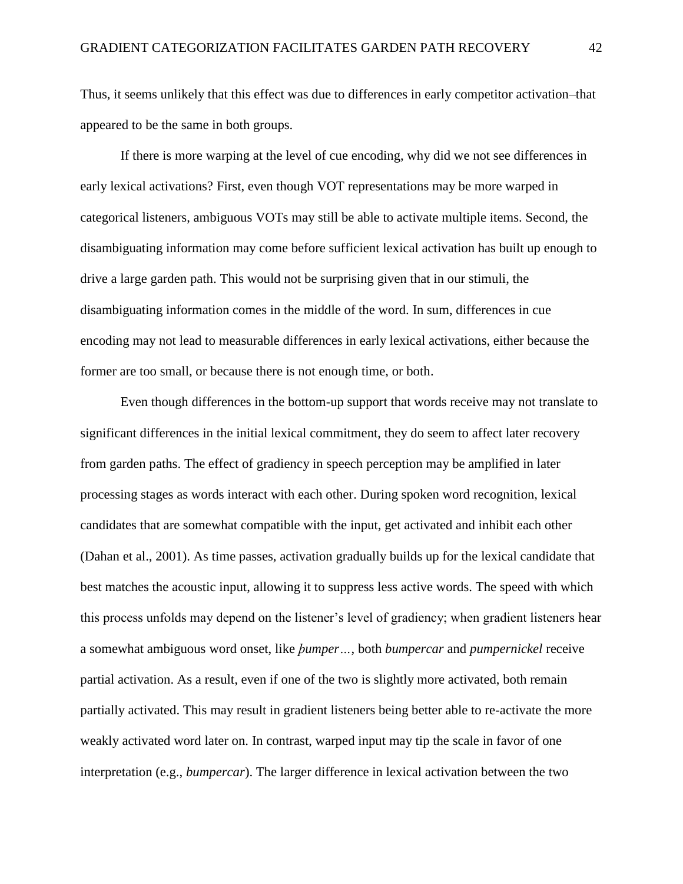Thus, it seems unlikely that this effect was due to differences in early competitor activation–that appeared to be the same in both groups.

If there is more warping at the level of cue encoding, why did we not see differences in early lexical activations? First, even though VOT representations may be more warped in categorical listeners, ambiguous VOTs may still be able to activate multiple items. Second, the disambiguating information may come before sufficient lexical activation has built up enough to drive a large garden path. This would not be surprising given that in our stimuli, the disambiguating information comes in the middle of the word. In sum, differences in cue encoding may not lead to measurable differences in early lexical activations, either because the former are too small, or because there is not enough time, or both.

Even though differences in the bottom-up support that words receive may not translate to significant differences in the initial lexical commitment, they do seem to affect later recovery from garden paths. The effect of gradiency in speech perception may be amplified in later processing stages as words interact with each other. During spoken word recognition, lexical candidates that are somewhat compatible with the input, get activated and inhibit each other (Dahan et al., 2001). As time passes, activation gradually builds up for the lexical candidate that best matches the acoustic input, allowing it to suppress less active words. The speed with which this process unfolds may depend on the listener's level of gradiency; when gradient listeners hear a somewhat ambiguous word onset, like *ϸumper…*, both *bumpercar* and *pumpernickel* receive partial activation. As a result, even if one of the two is slightly more activated, both remain partially activated. This may result in gradient listeners being better able to re-activate the more weakly activated word later on. In contrast, warped input may tip the scale in favor of one interpretation (e.g., *bumpercar*). The larger difference in lexical activation between the two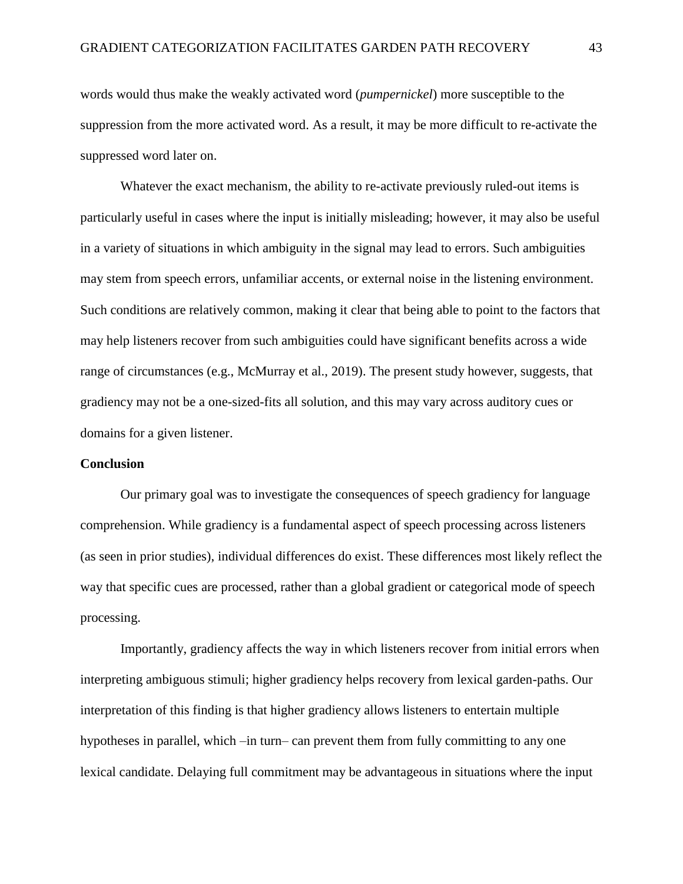words would thus make the weakly activated word (*pumpernickel*) more susceptible to the suppression from the more activated word. As a result, it may be more difficult to re-activate the suppressed word later on.

Whatever the exact mechanism, the ability to re-activate previously ruled-out items is particularly useful in cases where the input is initially misleading; however, it may also be useful in a variety of situations in which ambiguity in the signal may lead to errors. Such ambiguities may stem from speech errors, unfamiliar accents, or external noise in the listening environment. Such conditions are relatively common, making it clear that being able to point to the factors that may help listeners recover from such ambiguities could have significant benefits across a wide range of circumstances (e.g., McMurray et al., 2019). The present study however, suggests, that gradiency may not be a one-sized-fits all solution, and this may vary across auditory cues or domains for a given listener.

#### **Conclusion**

Our primary goal was to investigate the consequences of speech gradiency for language comprehension. While gradiency is a fundamental aspect of speech processing across listeners (as seen in prior studies), individual differences do exist. These differences most likely reflect the way that specific cues are processed, rather than a global gradient or categorical mode of speech processing.

Importantly, gradiency affects the way in which listeners recover from initial errors when interpreting ambiguous stimuli; higher gradiency helps recovery from lexical garden-paths. Our interpretation of this finding is that higher gradiency allows listeners to entertain multiple hypotheses in parallel, which –in turn– can prevent them from fully committing to any one lexical candidate. Delaying full commitment may be advantageous in situations where the input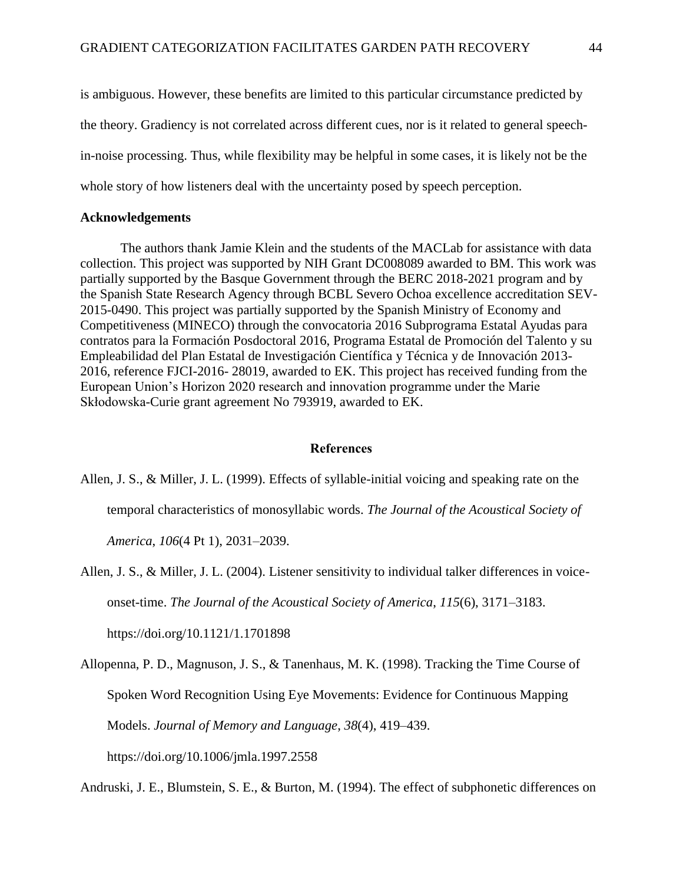is ambiguous. However, these benefits are limited to this particular circumstance predicted by the theory. Gradiency is not correlated across different cues, nor is it related to general speechin-noise processing. Thus, while flexibility may be helpful in some cases, it is likely not be the whole story of how listeners deal with the uncertainty posed by speech perception.

## **Acknowledgements**

The authors thank Jamie Klein and the students of the MACLab for assistance with data collection. This project was supported by NIH Grant DC008089 awarded to BM. This work was partially supported by the Basque Government through the BERC 2018-2021 program and by the Spanish State Research Agency through BCBL Severo Ochoa excellence accreditation SEV-2015-0490. This project was partially supported by the Spanish Ministry of Economy and Competitiveness (MINECO) through the convocatoria 2016 Subprograma Estatal Ayudas para contratos para la Formación Posdoctoral 2016, Programa Estatal de Promoción del Talento y su Empleabilidad del Plan Estatal de Investigación Científica y Técnica y de Innovación 2013- 2016, reference FJCI-2016- 28019, awarded to EK. This project has received funding from the European Union's Horizon 2020 research and innovation programme under the Marie Skłodowska-Curie grant agreement No 793919, awarded to EK.

# **References**

Allen, J. S., & Miller, J. L. (1999). Effects of syllable-initial voicing and speaking rate on the temporal characteristics of monosyllabic words. *The Journal of the Acoustical Society of* 

*America*, *106*(4 Pt 1), 2031–2039.

- Allen, J. S., & Miller, J. L. (2004). Listener sensitivity to individual talker differences in voiceonset-time. *The Journal of the Acoustical Society of America*, *115*(6), 3171–3183. https://doi.org/10.1121/1.1701898
- Allopenna, P. D., Magnuson, J. S., & Tanenhaus, M. K. (1998). Tracking the Time Course of Spoken Word Recognition Using Eye Movements: Evidence for Continuous Mapping Models. *Journal of Memory and Language*, *38*(4), 419–439.

https://doi.org/10.1006/jmla.1997.2558

Andruski, J. E., Blumstein, S. E., & Burton, M. (1994). The effect of subphonetic differences on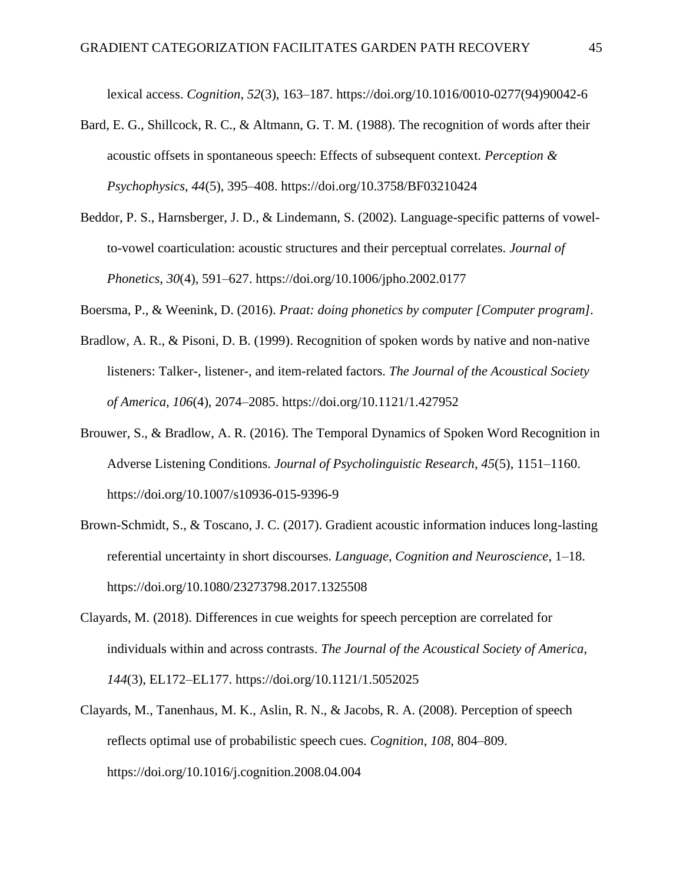lexical access. *Cognition*, *52*(3), 163–187. https://doi.org/10.1016/0010-0277(94)90042-6

- Bard, E. G., Shillcock, R. C., & Altmann, G. T. M. (1988). The recognition of words after their acoustic offsets in spontaneous speech: Effects of subsequent context. *Perception & Psychophysics*, *44*(5), 395–408. https://doi.org/10.3758/BF03210424
- Beddor, P. S., Harnsberger, J. D., & Lindemann, S. (2002). Language-specific patterns of vowelto-vowel coarticulation: acoustic structures and their perceptual correlates. *Journal of Phonetics*, *30*(4), 591–627. https://doi.org/10.1006/jpho.2002.0177

Boersma, P., & Weenink, D. (2016). *Praat: doing phonetics by computer [Computer program].*

- Bradlow, A. R., & Pisoni, D. B. (1999). Recognition of spoken words by native and non-native listeners: Talker-, listener-, and item-related factors. *The Journal of the Acoustical Society of America*, *106*(4), 2074–2085. https://doi.org/10.1121/1.427952
- Brouwer, S., & Bradlow, A. R. (2016). The Temporal Dynamics of Spoken Word Recognition in Adverse Listening Conditions. *Journal of Psycholinguistic Research*, *45*(5), 1151–1160. https://doi.org/10.1007/s10936-015-9396-9
- Brown-Schmidt, S., & Toscano, J. C. (2017). Gradient acoustic information induces long-lasting referential uncertainty in short discourses. *Language, Cognition and Neuroscience*, 1–18. https://doi.org/10.1080/23273798.2017.1325508
- Clayards, M. (2018). Differences in cue weights for speech perception are correlated for individuals within and across contrasts. *The Journal of the Acoustical Society of America*, *144*(3), EL172–EL177. https://doi.org/10.1121/1.5052025
- Clayards, M., Tanenhaus, M. K., Aslin, R. N., & Jacobs, R. A. (2008). Perception of speech reflects optimal use of probabilistic speech cues. *Cognition*, *108*, 804–809. https://doi.org/10.1016/j.cognition.2008.04.004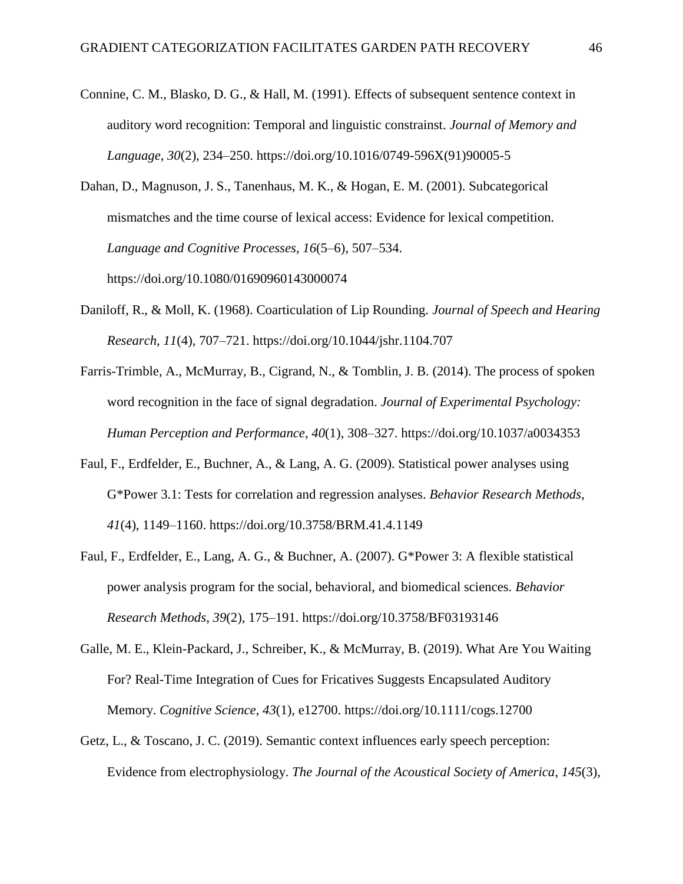Connine, C. M., Blasko, D. G., & Hall, M. (1991). Effects of subsequent sentence context in auditory word recognition: Temporal and linguistic constrainst. *Journal of Memory and Language*, *30*(2), 234–250. https://doi.org/10.1016/0749-596X(91)90005-5

Dahan, D., Magnuson, J. S., Tanenhaus, M. K., & Hogan, E. M. (2001). Subcategorical mismatches and the time course of lexical access: Evidence for lexical competition. *Language and Cognitive Processes*, *16*(5–6), 507–534. https://doi.org/10.1080/01690960143000074

- Daniloff, R., & Moll, K. (1968). Coarticulation of Lip Rounding. *Journal of Speech and Hearing Research*, *11*(4), 707–721. https://doi.org/10.1044/jshr.1104.707
- Farris-Trimble, A., McMurray, B., Cigrand, N., & Tomblin, J. B. (2014). The process of spoken word recognition in the face of signal degradation. *Journal of Experimental Psychology: Human Perception and Performance*, *40*(1), 308–327. https://doi.org/10.1037/a0034353
- Faul, F., Erdfelder, E., Buchner, A., & Lang, A. G. (2009). Statistical power analyses using G\*Power 3.1: Tests for correlation and regression analyses. *Behavior Research Methods*, *41*(4), 1149–1160. https://doi.org/10.3758/BRM.41.4.1149
- Faul, F., Erdfelder, E., Lang, A. G., & Buchner, A. (2007). G\*Power 3: A flexible statistical power analysis program for the social, behavioral, and biomedical sciences. *Behavior Research Methods*, *39*(2), 175–191. https://doi.org/10.3758/BF03193146
- Galle, M. E., Klein-Packard, J., Schreiber, K., & McMurray, B. (2019). What Are You Waiting For? Real-Time Integration of Cues for Fricatives Suggests Encapsulated Auditory Memory. *Cognitive Science*, *43*(1), e12700. https://doi.org/10.1111/cogs.12700
- Getz, L., & Toscano, J. C. (2019). Semantic context influences early speech perception: Evidence from electrophysiology. *The Journal of the Acoustical Society of America*, *145*(3),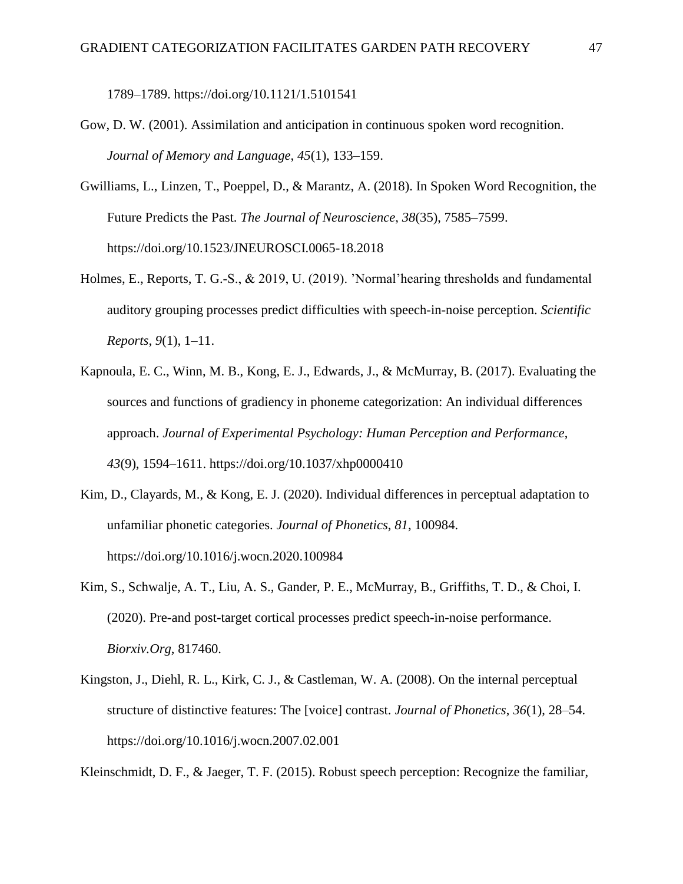1789–1789. https://doi.org/10.1121/1.5101541

- Gow, D. W. (2001). Assimilation and anticipation in continuous spoken word recognition. *Journal of Memory and Language*, *45*(1), 133–159.
- Gwilliams, L., Linzen, T., Poeppel, D., & Marantz, A. (2018). In Spoken Word Recognition, the Future Predicts the Past. *The Journal of Neuroscience*, *38*(35), 7585–7599. https://doi.org/10.1523/JNEUROSCI.0065-18.2018
- Holmes, E., Reports, T. G.-S., & 2019, U. (2019). 'Normal'hearing thresholds and fundamental auditory grouping processes predict difficulties with speech-in-noise perception. *Scientific Reports*, *9*(1), 1–11.
- Kapnoula, E. C., Winn, M. B., Kong, E. J., Edwards, J., & McMurray, B. (2017). Evaluating the sources and functions of gradiency in phoneme categorization: An individual differences approach. *Journal of Experimental Psychology: Human Perception and Performance*, *43*(9), 1594–1611. https://doi.org/10.1037/xhp0000410
- Kim, D., Clayards, M., & Kong, E. J. (2020). Individual differences in perceptual adaptation to unfamiliar phonetic categories. *Journal of Phonetics*, *81*, 100984. https://doi.org/10.1016/j.wocn.2020.100984
- Kim, S., Schwalje, A. T., Liu, A. S., Gander, P. E., McMurray, B., Griffiths, T. D., & Choi, I. (2020). Pre-and post-target cortical processes predict speech-in-noise performance. *Biorxiv.Org*, 817460.
- Kingston, J., Diehl, R. L., Kirk, C. J., & Castleman, W. A. (2008). On the internal perceptual structure of distinctive features: The [voice] contrast. *Journal of Phonetics*, *36*(1), 28–54. https://doi.org/10.1016/j.wocn.2007.02.001

Kleinschmidt, D. F., & Jaeger, T. F. (2015). Robust speech perception: Recognize the familiar,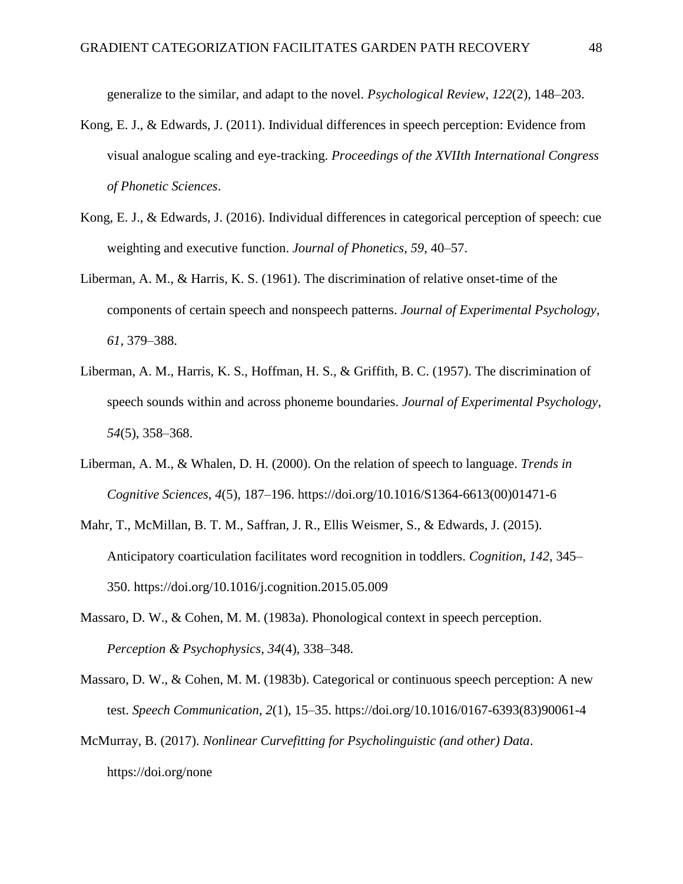generalize to the similar, and adapt to the novel. *Psychological Review*, *122*(2), 148–203.

- Kong, E. J., & Edwards, J. (2011). Individual differences in speech perception: Evidence from visual analogue scaling and eye-tracking. *Proceedings of the XVIIth International Congress of Phonetic Sciences*.
- Kong, E. J., & Edwards, J. (2016). Individual differences in categorical perception of speech: cue weighting and executive function. *Journal of Phonetics*, *59*, 40–57.
- Liberman, A. M., & Harris, K. S. (1961). The discrimination of relative onset-time of the components of certain speech and nonspeech patterns. *Journal of Experimental Psychology*, *61*, 379–388.
- Liberman, A. M., Harris, K. S., Hoffman, H. S., & Griffith, B. C. (1957). The discrimination of speech sounds within and across phoneme boundaries. *Journal of Experimental Psychology*, *54*(5), 358–368.
- Liberman, A. M., & Whalen, D. H. (2000). On the relation of speech to language. *Trends in Cognitive Sciences*, *4*(5), 187–196. https://doi.org/10.1016/S1364-6613(00)01471-6
- Mahr, T., McMillan, B. T. M., Saffran, J. R., Ellis Weismer, S., & Edwards, J. (2015). Anticipatory coarticulation facilitates word recognition in toddlers. *Cognition*, *142*, 345– 350. https://doi.org/10.1016/j.cognition.2015.05.009
- Massaro, D. W., & Cohen, M. M. (1983a). Phonological context in speech perception. *Perception & Psychophysics*, *34*(4), 338–348.
- Massaro, D. W., & Cohen, M. M. (1983b). Categorical or continuous speech perception: A new test. *Speech Communication*, *2*(1), 15–35. https://doi.org/10.1016/0167-6393(83)90061-4
- McMurray, B. (2017). *Nonlinear Curvefitting for Psycholinguistic (and other) Data*. https://doi.org/none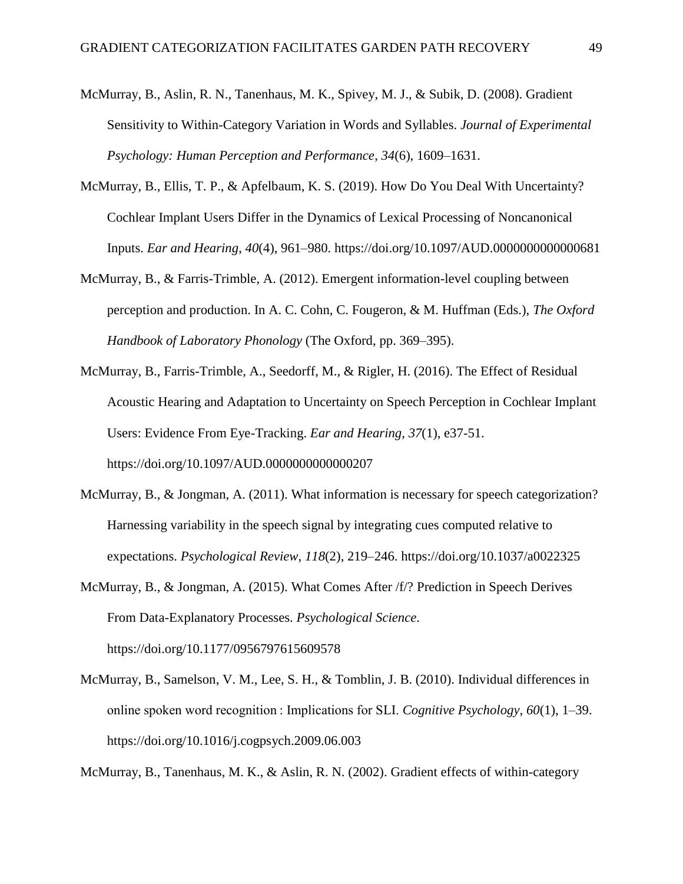- McMurray, B., Aslin, R. N., Tanenhaus, M. K., Spivey, M. J., & Subik, D. (2008). Gradient Sensitivity to Within-Category Variation in Words and Syllables. *Journal of Experimental Psychology: Human Perception and Performance*, *34*(6), 1609–1631.
- McMurray, B., Ellis, T. P., & Apfelbaum, K. S. (2019). How Do You Deal With Uncertainty? Cochlear Implant Users Differ in the Dynamics of Lexical Processing of Noncanonical Inputs. *Ear and Hearing*, *40*(4), 961–980. https://doi.org/10.1097/AUD.0000000000000681
- McMurray, B., & Farris-Trimble, A. (2012). Emergent information-level coupling between perception and production. In A. C. Cohn, C. Fougeron, & M. Huffman (Eds.), *The Oxford Handbook of Laboratory Phonology* (The Oxford, pp. 369–395).
- McMurray, B., Farris-Trimble, A., Seedorff, M., & Rigler, H. (2016). The Effect of Residual Acoustic Hearing and Adaptation to Uncertainty on Speech Perception in Cochlear Implant Users: Evidence From Eye-Tracking. *Ear and Hearing*, *37*(1), e37-51. https://doi.org/10.1097/AUD.0000000000000207
- McMurray, B., & Jongman, A. (2011). What information is necessary for speech categorization? Harnessing variability in the speech signal by integrating cues computed relative to expectations. *Psychological Review*, *118*(2), 219–246. https://doi.org/10.1037/a0022325
- McMurray, B., & Jongman, A. (2015). What Comes After /f/? Prediction in Speech Derives From Data-Explanatory Processes. *Psychological Science*. https://doi.org/10.1177/0956797615609578
- McMurray, B., Samelson, V. M., Lee, S. H., & Tomblin, J. B. (2010). Individual differences in online spoken word recognition : Implications for SLI. *Cognitive Psychology*, *60*(1), 1–39. https://doi.org/10.1016/j.cogpsych.2009.06.003

McMurray, B., Tanenhaus, M. K., & Aslin, R. N. (2002). Gradient effects of within-category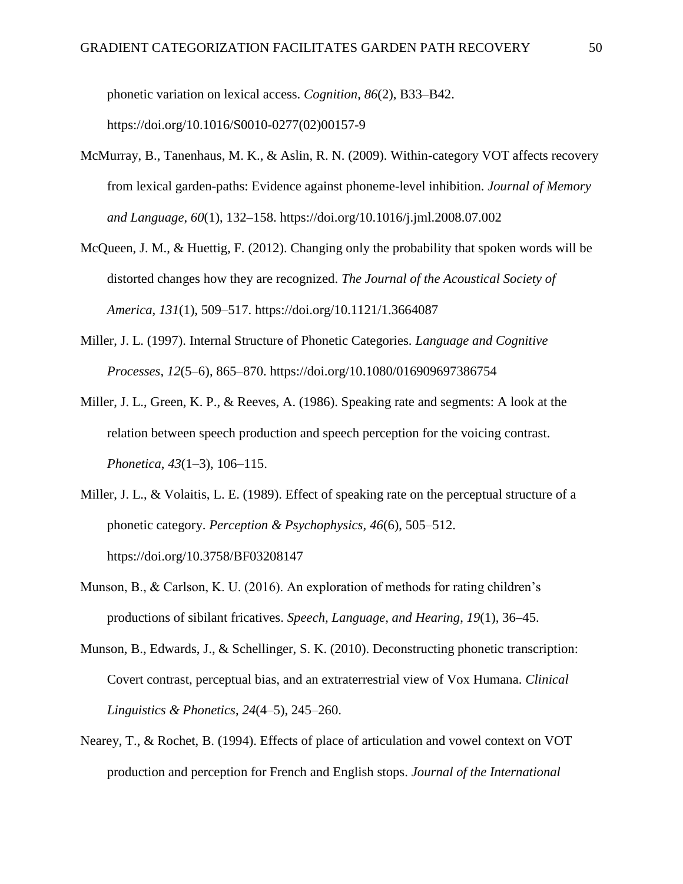phonetic variation on lexical access. *Cognition*, *86*(2), B33–B42. https://doi.org/10.1016/S0010-0277(02)00157-9

- McMurray, B., Tanenhaus, M. K., & Aslin, R. N. (2009). Within-category VOT affects recovery from lexical garden-paths: Evidence against phoneme-level inhibition. *Journal of Memory and Language*, *60*(1), 132–158. https://doi.org/10.1016/j.jml.2008.07.002
- McQueen, J. M., & Huettig, F. (2012). Changing only the probability that spoken words will be distorted changes how they are recognized. *The Journal of the Acoustical Society of America*, *131*(1), 509–517. https://doi.org/10.1121/1.3664087
- Miller, J. L. (1997). Internal Structure of Phonetic Categories. *Language and Cognitive Processes*, *12*(5–6), 865–870. https://doi.org/10.1080/016909697386754
- Miller, J. L., Green, K. P., & Reeves, A. (1986). Speaking rate and segments: A look at the relation between speech production and speech perception for the voicing contrast. *Phonetica*, *43*(1–3), 106–115.
- Miller, J. L., & Volaitis, L. E. (1989). Effect of speaking rate on the perceptual structure of a phonetic category. *Perception & Psychophysics*, *46*(6), 505–512. https://doi.org/10.3758/BF03208147
- Munson, B., & Carlson, K. U. (2016). An exploration of methods for rating children's productions of sibilant fricatives. *Speech, Language, and Hearing*, *19*(1), 36–45.
- Munson, B., Edwards, J., & Schellinger, S. K. (2010). Deconstructing phonetic transcription: Covert contrast, perceptual bias, and an extraterrestrial view of Vox Humana. *Clinical Linguistics & Phonetics*, *24*(4–5), 245–260.
- Nearey, T., & Rochet, B. (1994). Effects of place of articulation and vowel context on VOT production and perception for French and English stops. *Journal of the International*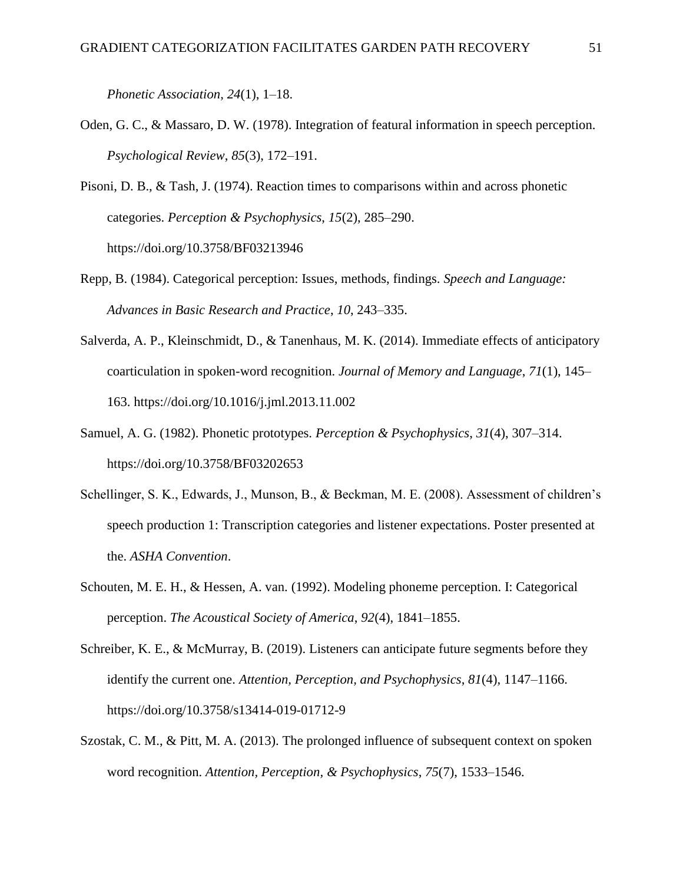*Phonetic Association*, *24*(1), 1–18.

- Oden, G. C., & Massaro, D. W. (1978). Integration of featural information in speech perception. *Psychological Review*, *85*(3), 172–191.
- Pisoni, D. B., & Tash, J. (1974). Reaction times to comparisons within and across phonetic categories. *Perception & Psychophysics*, *15*(2), 285–290. https://doi.org/10.3758/BF03213946
- Repp, B. (1984). Categorical perception: Issues, methods, findings. *Speech and Language: Advances in Basic Research and Practice*, *10*, 243–335.
- Salverda, A. P., Kleinschmidt, D., & Tanenhaus, M. K. (2014). Immediate effects of anticipatory coarticulation in spoken-word recognition. *Journal of Memory and Language*, *71*(1), 145– 163. https://doi.org/10.1016/j.jml.2013.11.002
- Samuel, A. G. (1982). Phonetic prototypes. *Perception & Psychophysics*, *31*(4), 307–314. https://doi.org/10.3758/BF03202653
- Schellinger, S. K., Edwards, J., Munson, B., & Beckman, M. E. (2008). Assessment of children's speech production 1: Transcription categories and listener expectations. Poster presented at the. *ASHA Convention*.
- Schouten, M. E. H., & Hessen, A. van. (1992). Modeling phoneme perception. I: Categorical perception. *The Acoustical Society of America*, *92*(4), 1841–1855.
- Schreiber, K. E., & McMurray, B. (2019). Listeners can anticipate future segments before they identify the current one. *Attention, Perception, and Psychophysics*, *81*(4), 1147–1166. https://doi.org/10.3758/s13414-019-01712-9
- Szostak, C. M., & Pitt, M. A. (2013). The prolonged influence of subsequent context on spoken word recognition. *Attention, Perception, & Psychophysics*, *75*(7), 1533–1546.